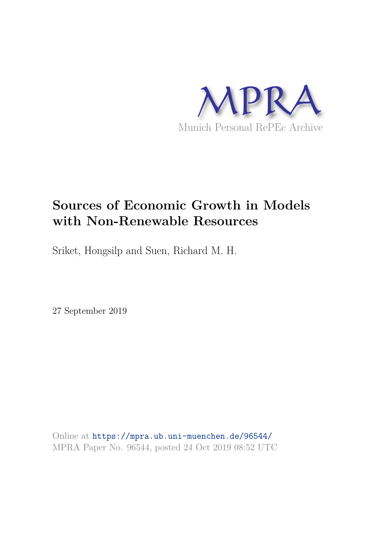

# **Sources of Economic Growth in Models with Non-Renewable Resources**

Sriket, Hongsilp and Suen, Richard M. H.

27 September 2019

Online at https://mpra.ub.uni-muenchen.de/96544/ MPRA Paper No. 96544, posted 24 Oct 2019 08:52 UTC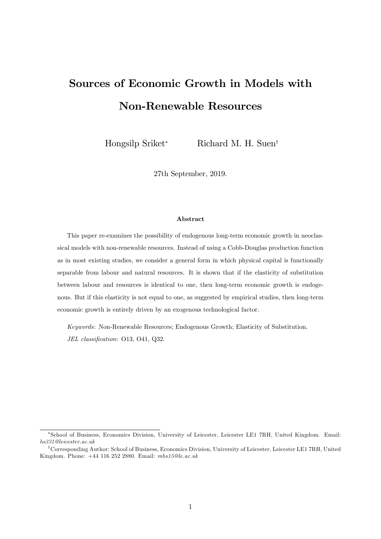# Sources of Economic Growth in Models with Non-Renewable Resources

Hongsilp Sriket\* Richard M. H. Suen<sup>†</sup>

27th September, 2019.

#### Abstract

This paper re-examines the possibility of endogenous long-term economic growth in neoclassical models with non-renewable resources. Instead of using a Cobb-Douglas production function as in most existing studies, we consider a general form in which physical capital is functionally separable from labour and natural resources. It is shown that if the elasticity of substitution between labour and resources is identical to one, then long-term economic growth is endogenous. But if this elasticity is not equal to one, as suggested by empirical studies, then long-term economic growth is entirely driven by an exogenous technological factor.

Keywords: Non-Renewable Resources; Endogenous Growth; Elasticity of Substitution. JEL classification: O13, O41, Q32.

School of Business, Economics Division, University of Leicester, Leicester LE1 7RH, United Kingdom. Email: hs331@leicester.ac.uk

<sup>&</sup>lt;sup>†</sup>Corresponding Author: School of Business, Economics Division, University of Leicester, Leicester LE1 7RH, United Kingdom. Phone: +44 116 252 2880. Email: mhs15@le.ac.uk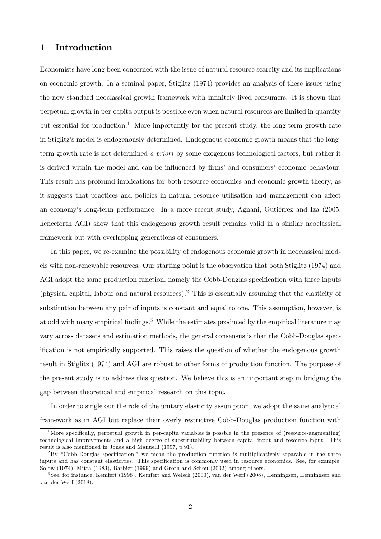# 1 Introduction

Economists have long been concerned with the issue of natural resource scarcity and its implications on economic growth. In a seminal paper, Stiglitz (1974) provides an analysis of these issues using the now-standard neoclassical growth framework with infinitely-lived consumers. It is shown that perpetual growth in per-capita output is possible even when natural resources are limited in quantity but essential for production.<sup>1</sup> More importantly for the present study, the long-term growth rate in Stiglitzís model is endogenously determined. Endogenous economic growth means that the longterm growth rate is not determined a priori by some exogenous technological factors, but rather it is derived within the model and can be influenced by firms' and consumers' economic behaviour. This result has profound implications for both resource economics and economic growth theory, as it suggests that practices and policies in natural resource utilisation and management can affect an economy's long-term performance. In a more recent study, Agnani, Gutièrrez and Iza (2005, henceforth AGI) show that this endogenous growth result remains valid in a similar neoclassical framework but with overlapping generations of consumers.

In this paper, we re-examine the possibility of endogenous economic growth in neoclassical models with non-renewable resources. Our starting point is the observation that both Stiglitz (1974) and AGI adopt the same production function, namely the Cobb-Douglas specification with three inputs (physical capital, labour and natural resources).<sup>2</sup> This is essentially assuming that the elasticity of substitution between any pair of inputs is constant and equal to one. This assumption, however, is at odd with many empirical findings.<sup>3</sup> While the estimates produced by the empirical literature may vary across datasets and estimation methods, the general consensus is that the Cobb-Douglas specification is not empirically supported. This raises the question of whether the endogenous growth result in Stiglitz (1974) and AGI are robust to other forms of production function. The purpose of the present study is to address this question. We believe this is an important step in bridging the gap between theoretical and empirical research on this topic.

In order to single out the role of the unitary elasticity assumption, we adopt the same analytical framework as in AGI but replace their overly restrictive Cobb-Douglas production function with

<sup>&</sup>lt;sup>1</sup>More specifically, perpetual growth in per-capita variables is possble in the presence of (resource-augmenting) technological improvements and a high degree of substitutability between capital input and resource input. This result is also mentioned in Jones and Manuelli (1997, p.91).

 ${}^{2}By$  "Cobb-Douglas specification," we mean the production function is multiplicatively separable in the three inputs and has constant elasticities. This specification is commonly used in resource economics. See, for example, Solow (1974), Mitra (1983), Barbier (1999) and Groth and Schou (2002) among others.

<sup>3</sup> See, for instance, Kemfert (1998), Kemfert and Welsch (2000), van der Werf (2008), Henningsen, Henningsen and van der Werf (2018).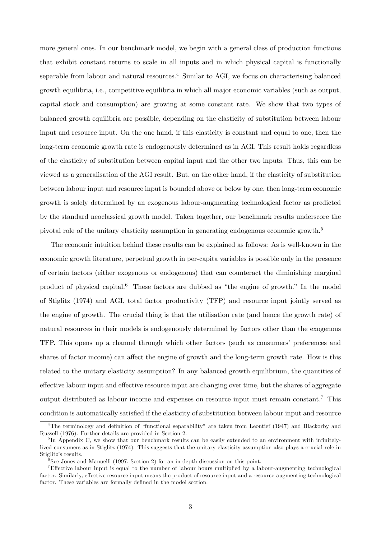more general ones. In our benchmark model, we begin with a general class of production functions that exhibit constant returns to scale in all inputs and in which physical capital is functionally separable from labour and natural resources.<sup>4</sup> Similar to AGI, we focus on characterising balanced growth equilibria, i.e., competitive equilibria in which all major economic variables (such as output, capital stock and consumption) are growing at some constant rate. We show that two types of balanced growth equilibria are possible, depending on the elasticity of substitution between labour input and resource input. On the one hand, if this elasticity is constant and equal to one, then the long-term economic growth rate is endogenously determined as in AGI. This result holds regardless of the elasticity of substitution between capital input and the other two inputs. Thus, this can be viewed as a generalisation of the AGI result. But, on the other hand, if the elasticity of substitution between labour input and resource input is bounded above or below by one, then long-term economic growth is solely determined by an exogenous labour-augmenting technological factor as predicted by the standard neoclassical growth model. Taken together, our benchmark results underscore the pivotal role of the unitary elasticity assumption in generating endogenous economic growth.<sup>5</sup>

The economic intuition behind these results can be explained as follows: As is well-known in the economic growth literature, perpetual growth in per-capita variables is possible only in the presence of certain factors (either exogenous or endogenous) that can counteract the diminishing marginal product of physical capital.<sup>6</sup> These factors are dubbed as "the engine of growth." In the model of Stiglitz (1974) and AGI, total factor productivity (TFP) and resource input jointly served as the engine of growth. The crucial thing is that the utilisation rate (and hence the growth rate) of natural resources in their models is endogenously determined by factors other than the exogenous TFP. This opens up a channel through which other factors (such as consumersí preferences and shares of factor income) can affect the engine of growth and the long-term growth rate. How is this related to the unitary elasticity assumption? In any balanced growth equilibrium, the quantities of effective labour input and effective resource input are changing over time, but the shares of aggregate output distributed as labour income and expenses on resource input must remain constant.<sup>7</sup> This condition is automatically satisfied if the elasticity of substitution between labour input and resource

<sup>&</sup>lt;sup>4</sup>The terminology and definition of "functional separability" are taken from Leontief (1947) and Blackorby and Russell (1976). Further details are provided in Section 2.

<sup>&</sup>lt;sup>5</sup>In Appendix C, we show that our benchmark results can be easily extended to an environment with infinitelylived consumers as in Stiglitz (1974). This suggests that the unitary elasticity assumption also plays a crucial role in Stiglitz's results.

<sup>&</sup>lt;sup>6</sup>See Jones and Manuelli (1997, Section 2) for an in-depth discussion on this point.

<sup>&</sup>lt;sup>7</sup>Effective labour input is equal to the number of labour hours multiplied by a labour-augmenting technological factor. Similarly, effective resource input means the product of resource input and a resource-augmenting technological factor. These variables are formally defined in the model section.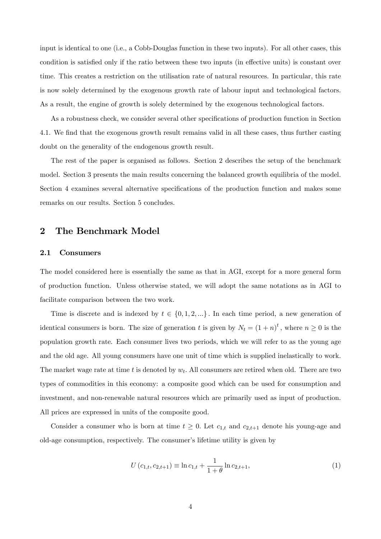input is identical to one (i.e., a Cobb-Douglas function in these two inputs). For all other cases, this condition is satisfied only if the ratio between these two inputs (in effective units) is constant over time. This creates a restriction on the utilisation rate of natural resources. In particular, this rate is now solely determined by the exogenous growth rate of labour input and technological factors. As a result, the engine of growth is solely determined by the exogenous technological factors.

As a robustness check, we consider several other specifications of production function in Section 4.1. We find that the exogenous growth result remains valid in all these cases, thus further casting doubt on the generality of the endogenous growth result.

The rest of the paper is organised as follows. Section 2 describes the setup of the benchmark model. Section 3 presents the main results concerning the balanced growth equilibria of the model. Section 4 examines several alternative specifications of the production function and makes some remarks on our results. Section 5 concludes.

## 2 The Benchmark Model

#### 2.1 Consumers

The model considered here is essentially the same as that in AGI, except for a more general form of production function. Unless otherwise stated, we will adopt the same notations as in AGI to facilitate comparison between the two work.

Time is discrete and is indexed by  $t \in \{0, 1, 2, ...\}$ . In each time period, a new generation of identical consumers is born. The size of generation t is given by  $N_t = (1 + n)^t$ , where  $n \geq 0$  is the population growth rate. Each consumer lives two periods, which we will refer to as the young age and the old age. All young consumers have one unit of time which is supplied inelastically to work. The market wage rate at time t is denoted by  $w_t$ . All consumers are retired when old. There are two types of commodities in this economy: a composite good which can be used for consumption and investment, and non-renewable natural resources which are primarily used as input of production. All prices are expressed in units of the composite good.

Consider a consumer who is born at time  $t \geq 0$ . Let  $c_{1,t}$  and  $c_{2,t+1}$  denote his young-age and old-age consumption, respectively. The consumerís lifetime utility is given by

$$
U(c_{1,t}, c_{2,t+1}) \equiv \ln c_{1,t} + \frac{1}{1+\theta} \ln c_{2,t+1},
$$
\n(1)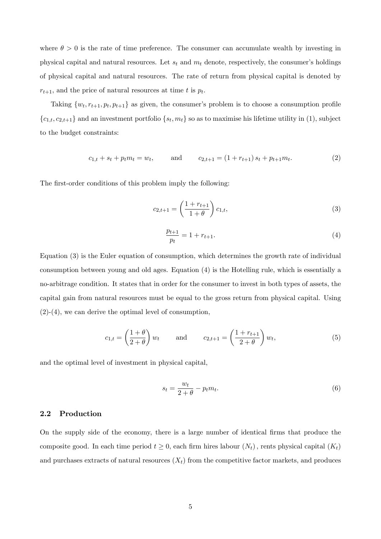where  $\theta > 0$  is the rate of time preference. The consumer can accumulate wealth by investing in physical capital and natural resources. Let  $s_t$  and  $m_t$  denote, respectively, the consumer's holdings of physical capital and natural resources. The rate of return from physical capital is denoted by  $r_{t+1}$ , and the price of natural resources at time t is  $p_t$ .

Taking  $\{w_t, r_{t+1}, p_t, p_{t+1}\}$  as given, the consumer's problem is to choose a consumption profile  ${c_{1,t}, c_{2,t+1}}$  and an investment portfolio  ${s_t, m_t}$  so as to maximise his lifetime utility in (1), subject to the budget constraints:

$$
c_{1,t} + s_t + p_t m_t = w_t, \qquad \text{and} \qquad c_{2,t+1} = (1 + r_{t+1}) s_t + p_{t+1} m_t.
$$
 (2)

The first-order conditions of this problem imply the following:

$$
c_{2,t+1} = \left(\frac{1 + r_{t+1}}{1 + \theta}\right) c_{1,t},\tag{3}
$$

$$
\frac{p_{t+1}}{p_t} = 1 + r_{t+1}.\tag{4}
$$

Equation (3) is the Euler equation of consumption, which determines the growth rate of individual consumption between young and old ages. Equation (4) is the Hotelling rule, which is essentially a no-arbitrage condition. It states that in order for the consumer to invest in both types of assets, the capital gain from natural resources must be equal to the gross return from physical capital. Using (2)-(4), we can derive the optimal level of consumption,

$$
c_{1,t} = \left(\frac{1+\theta}{2+\theta}\right)w_t \quad \text{and} \quad c_{2,t+1} = \left(\frac{1+r_{t+1}}{2+\theta}\right)w_t,
$$
 (5)

and the optimal level of investment in physical capital,

$$
s_t = \frac{w_t}{2 + \theta} - p_t m_t.
$$
\n<sup>(6)</sup>

#### 2.2 Production

On the supply side of the economy, there is a large number of identical Örms that produce the composite good. In each time period  $t \geq 0$ , each firm hires labour  $(N_t)$ , rents physical capital  $(K_t)$ and purchases extracts of natural resources  $(X_t)$  from the competitive factor markets, and produces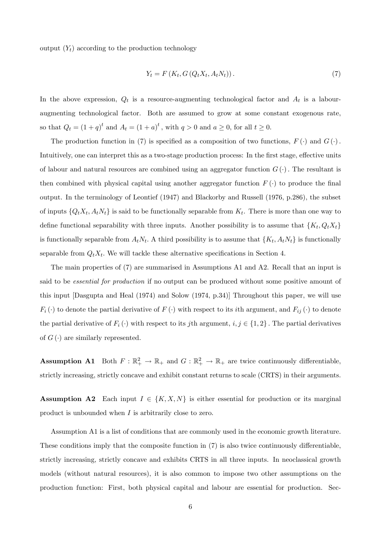output  $(Y_t)$  according to the production technology

$$
Y_t = F\left(K_t, G\left(Q_t X_t, A_t N_t\right)\right). \tag{7}
$$

In the above expression,  $Q_t$  is a resource-augmenting technological factor and  $A_t$  is a labouraugmenting technological factor. Both are assumed to grow at some constant exogenous rate, so that  $Q_t = (1+q)^t$  and  $A_t = (1+a)^t$ , with  $q > 0$  and  $a \ge 0$ , for all  $t \ge 0$ .

The production function in (7) is specified as a composition of two functions,  $F(\cdot)$  and  $G(\cdot)$ . Intuitively, one can interpret this as a two-stage production process: In the first stage, effective units of labour and natural resources are combined using an aggregator function  $G(\cdot)$ . The resultant is then combined with physical capital using another aggregator function  $F(\cdot)$  to produce the final output. In the terminology of Leontief (1947) and Blackorby and Russell (1976, p.286), the subset of inputs  $\{Q_t X_t, A_t N_t\}$  is said to be functionally separable from  $K_t$ . There is more than one way to define functional separability with three inputs. Another possibility is to assume that  $\{K_t, Q_t X_t\}$ is functionally separable from  $A_t N_t$ . A third possibility is to assume that  $\{K_t, A_t N_t\}$  is functionally separable from  $Q_t X_t$ . We will tackle these alternative specifications in Section 4.

The main properties of (7) are summarised in Assumptions A1 and A2. Recall that an input is said to be *essential for production* if no output can be produced without some positive amount of this input [Dasgupta and Heal (1974) and Solow (1974, p.34)] Throughout this paper, we will use  $F_i(\cdot)$  to denote the partial derivative of  $F(\cdot)$  with respect to its *i*th argument, and  $F_{ij}(\cdot)$  to denote the partial derivative of  $F_i(\cdot)$  with respect to its jth argument,  $i, j \in \{1, 2\}$ . The partial derivatives of  $G(\cdot)$  are similarly represented.

**Assumption A1** Both  $F: \mathbb{R}^2_+ \to \mathbb{R}_+$  and  $G: \mathbb{R}^2_+ \to \mathbb{R}_+$  are twice continuously differentiable, strictly increasing, strictly concave and exhibit constant returns to scale (CRTS) in their arguments.

**Assumption A2** Each input  $I \in \{K, X, N\}$  is either essential for production or its marginal product is unbounded when I is arbitrarily close to zero.

Assumption A1 is a list of conditions that are commonly used in the economic growth literature. These conditions imply that the composite function in  $(7)$  is also twice continuously differentiable, strictly increasing, strictly concave and exhibits CRTS in all three inputs. In neoclassical growth models (without natural resources), it is also common to impose two other assumptions on the production function: First, both physical capital and labour are essential for production. Sec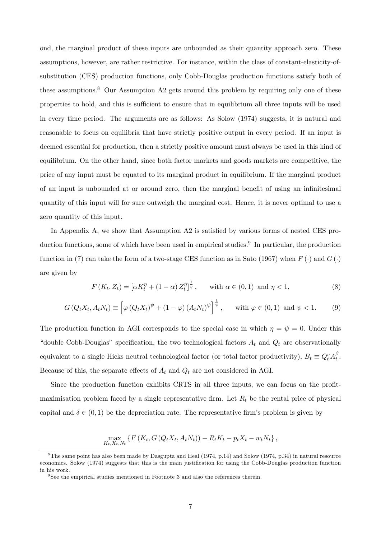ond, the marginal product of these inputs are unbounded as their quantity approach zero. These assumptions, however, are rather restrictive. For instance, within the class of constant-elasticity-ofsubstitution (CES) production functions, only Cobb-Douglas production functions satisfy both of these assumptions.<sup>8</sup> Our Assumption A2 gets around this problem by requiring only one of these properties to hold, and this is sufficient to ensure that in equilibrium all three inputs will be used in every time period. The arguments are as follows: As Solow (1974) suggests, it is natural and reasonable to focus on equilibria that have strictly positive output in every period. If an input is deemed essential for production, then a strictly positive amount must always be used in this kind of equilibrium. On the other hand, since both factor markets and goods markets are competitive, the price of any input must be equated to its marginal product in equilibrium. If the marginal product of an input is unbounded at or around zero, then the marginal benefit of using an infinitesimal quantity of this input will for sure outweigh the marginal cost. Hence, it is never optimal to use a zero quantity of this input.

In Appendix A, we show that Assumption A2 is satisfied by various forms of nested CES production functions, some of which have been used in empirical studies.<sup>9</sup> In particular, the production function in (7) can take the form of a two-stage CES function as in Sato (1967) when  $F(\cdot)$  and  $G(\cdot)$ are given by

$$
F(K_t, Z_t) = [\alpha K_t^{\eta} + (1 - \alpha) Z_t^{\eta}]^{\frac{1}{\eta}}, \quad \text{with } \alpha \in (0, 1) \text{ and } \eta < 1,
$$
 (8)

$$
G\left(Q_t X_t, A_t N_t\right) \equiv \left[\varphi\left(Q_t X_t\right)^{\psi} + (1 - \varphi)\left(A_t N_t\right)^{\psi}\right]^{\frac{1}{\psi}}, \quad \text{with } \varphi \in (0, 1) \text{ and } \psi < 1. \tag{9}
$$

The production function in AGI corresponds to the special case in which  $\eta = \psi = 0$ . Under this "double Cobb-Douglas" specification, the two technological factors  $A_t$  and  $Q_t$  are observationally equivalent to a single Hicks neutral technological factor (or total factor productivity),  $B_t \equiv Q_t^v A_t^{\beta}$  $\frac{\rho}{t}$ . Because of this, the separate effects of  $A_t$  and  $Q_t$  are not considered in AGI.

Since the production function exhibits CRTS in all three inputs, we can focus on the profitmaximisation problem faced by a single representative firm. Let  $R_t$  be the rental price of physical capital and  $\delta \in (0, 1)$  be the depreciation rate. The representative firm's problem is given by

$$
\max_{K_t, X_t, N_t} \left\{ F\left( K_t, G\left( Q_t X_t, A_t N_t \right) \right) - R_t K_t - p_t X_t - w_t N_t \right\},\
$$

 ${}^{8}$ The same point has also been made by Dasgupta and Heal (1974, p.14) and Solow (1974, p.34) in natural resource economics. Solow (1974) suggests that this is the main justification for using the Cobb-Douglas production function in his work.

<sup>&</sup>lt;sup>9</sup>See the empirical studies mentioned in Footnote 3 and also the references therein.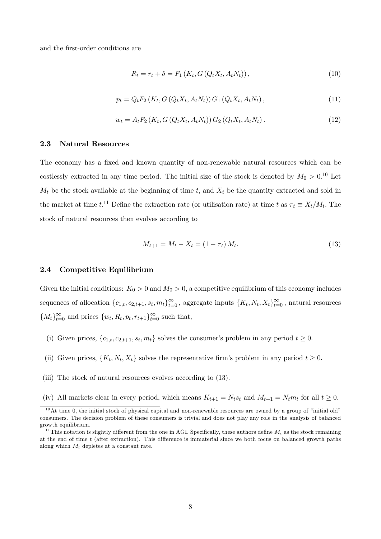and the first-order conditions are

$$
R_t = r_t + \delta = F_1(K_t, G(Q_t X_t, A_t N_t)),
$$
\n(10)

$$
p_t = Q_t F_2(K_t, G(Q_t X_t, A_t N_t)) G_1(Q_t X_t, A_t N_t), \qquad (11)
$$

$$
w_t = A_t F_2(K_t, G(Q_t X_t, A_t N_t)) G_2(Q_t X_t, A_t N_t).
$$
\n(12)

## 2.3 Natural Resources

The economy has a fixed and known quantity of non-renewable natural resources which can be costlessly extracted in any time period. The initial size of the stock is denoted by  $M_0 > 0.10$  Let  $M_t$  be the stock available at the beginning of time t, and  $X_t$  be the quantity extracted and sold in the market at time  $t^{11}$  Define the extraction rate (or utilisation rate) at time t as  $\tau_t \equiv X_t/M_t$ . The stock of natural resources then evolves according to

$$
M_{t+1} = M_t - X_t = (1 - \tau_t) M_t.
$$
\n(13)

### 2.4 Competitive Equilibrium

Given the initial conditions:  $K_0 > 0$  and  $M_0 > 0$ , a competitive equilibrium of this economy includes sequences of allocation  $\{c_{1,t}, c_{2,t+1}, s_t, m_t\}_{t=0}^{\infty}$ , aggregate inputs  $\{K_t, N_t, X_t\}_{t=0}^{\infty}$ , natural resources  ${M_t}_{t=0}^{\infty}$  and prices  ${w_t, R_t, p_t, r_{t+1}}_{t=0}^{\infty}$  such that,

- (i) Given prices,  $\{c_{1,t}, c_{2,t+1}, s_t, m_t\}$  solves the consumer's problem in any period  $t \geq 0$ .
- (ii) Given prices,  $\{K_t, N_t, X_t\}$  solves the representative firm's problem in any period  $t \geq 0$ .
- (iii) The stock of natural resources evolves according to (13).
- (iv) All markets clear in every period, which means  $K_{t+1} = N_t s_t$  and  $M_{t+1} = N_t m_t$  for all  $t \geq 0$ .

 $10$ At time 0, the initial stock of physical capital and non-renewable resources are owned by a group of "initial old" consumers. The decision problem of these consumers is trivial and does not play any role in the analysis of balanced growth equilibrium.

<sup>&</sup>lt;sup>11</sup>This notation is slightly different from the one in AGI. Specifically, these authors define  $M_t$  as the stock remaining at the end of time  $t$  (after extraction). This difference is immaterial since we both focus on balanced growth paths along which  $M_t$  depletes at a constant rate.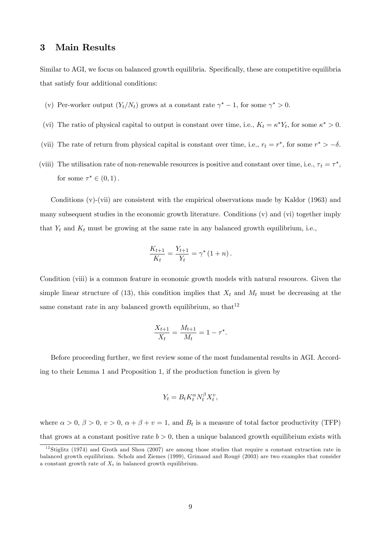# 3 Main Results

Similar to AGI, we focus on balanced growth equilibria. Specifically, these are competitive equilibria that satisfy four additional conditions:

- (v) Per-worker output  $(Y_t/N_t)$  grows at a constant rate  $\gamma^* 1$ , for some  $\gamma^* > 0$ .
- (vi) The ratio of physical capital to output is constant over time, i.e.,  $K_t = \kappa^* Y_t$ , for some  $\kappa^* > 0$ .
- (vii) The rate of return from physical capital is constant over time, i.e.,  $r_t = r^*$ , for some  $r^* > -\delta$ .
- (viii) The utilisation rate of non-renewable resources is positive and constant over time, i.e.,  $\tau_t = \tau^*$ , for some  $\tau^* \in (0,1)$ .

Conditions (v)-(vii) are consistent with the empirical observations made by Kaldor (1963) and many subsequent studies in the economic growth literature. Conditions (v) and (vi) together imply that  $Y_t$  and  $K_t$  must be growing at the same rate in any balanced growth equilibrium, i.e.,

$$
\frac{K_{t+1}}{K_t} = \frac{Y_{t+1}}{Y_t} = \gamma^* (1 + n).
$$

Condition (viii) is a common feature in economic growth models with natural resources. Given the simple linear structure of (13), this condition implies that  $X_t$  and  $M_t$  must be decreasing at the same constant rate in any balanced growth equilibrium, so that  $12$ 

$$
\frac{X_{t+1}}{X_t} = \frac{M_{t+1}}{M_t} = 1 - \tau^*.
$$

Before proceeding further, we first review some of the most fundamental results in AGI. According to their Lemma 1 and Proposition 1, if the production function is given by

$$
Y_t = B_t K_t^{\alpha} N_t^{\beta} X_t^v,
$$

where  $\alpha > 0$ ,  $\beta > 0$ ,  $v > 0$ ,  $\alpha + \beta + v = 1$ , and  $B_t$  is a measure of total factor productivity (TFP) that grows at a constant positive rate  $b > 0$ , then a unique balanced growth equilibrium exists with

 $12$ Stiglitz (1974) and Groth and Shou (2007) are among those studies that require a constant extraction rate in balanced growth equilibrium. Scholz and Ziemes (1999), Grimaud and Rougé (2003) are two examples that consider a constant growth rate of  $X_t$  in balanced growth equilibrium.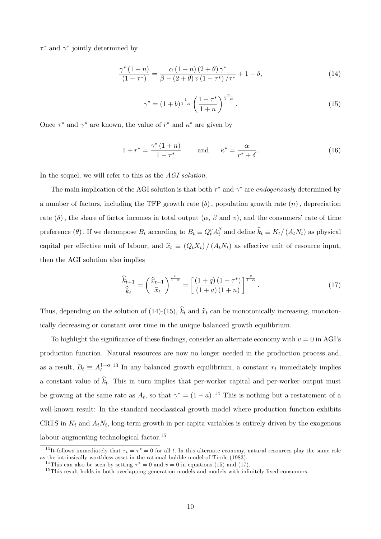$\tau^*$  and  $\gamma^*$  jointly determined by

$$
\frac{\gamma^*(1+n)}{(1-\tau^*)} = \frac{\alpha (1+n) (2+\theta) \gamma^*}{\beta - (2+\theta) v (1-\tau^*)/\tau^*} + 1 - \delta,
$$
\n(14)

$$
\gamma^* = (1+b)^{\frac{1}{1-\alpha}} \left( \frac{1-\tau^*}{1+n} \right)^{\frac{v}{1-\alpha}}.
$$
\n(15)

Once  $\tau^*$  and  $\gamma^*$  are known, the value of  $r^*$  and  $\kappa^*$  are given by

$$
1 + r^* = \frac{\gamma^* (1 + n)}{1 - \tau^*} \quad \text{and} \quad \kappa^* = \frac{\alpha}{r^* + \delta}.
$$
 (16)

In the sequel, we will refer to this as the AGI solution.

The main implication of the AGI solution is that both  $\tau^*$  and  $\gamma^*$  are endogenously determined by a number of factors, including the TFP growth rate  $(b)$ , population growth rate  $(n)$ , depreciation rate  $(\delta)$ , the share of factor incomes in total output  $(\alpha, \beta \text{ and } v)$ , and the consumers' rate of time preference  $(\theta)$ . If we decompose  $B_t$  according to  $B_t \equiv Q_t^v A_t^{\beta}$  $t_t^{\beta}$  and define  $k_t \equiv K_t/(A_t N_t)$  as physical capital per effective unit of labour, and  $\hat{x}_t \equiv (Q_t X_t) / (A_t N_t)$  as effective unit of resource input, then the AGI solution also implies

$$
\frac{\widehat{k}_{t+1}}{\widehat{k}_t} = \left(\frac{\widehat{x}_{t+1}}{\widehat{x}_t}\right)^{\frac{v}{1-\alpha}} = \left[\frac{(1+q)(1-\tau^*)}{(1+a)(1+n)}\right]^{\frac{v}{1-\alpha}}.\tag{17}
$$

Thus, depending on the solution of (14)-(15),  $\hat{k}_t$  and  $\hat{x}_t$  can be monotonically increasing, monotonically decreasing or constant over time in the unique balanced growth equilibrium.

To highlight the significance of these findings, consider an alternate economy with  $v = 0$  in AGI's production function. Natural resources are now no longer needed in the production process and, as a result,  $B_t \equiv A_t^{1-\alpha}$ .<sup>13</sup> In any balanced growth equilibrium, a constant  $r_t$  immediately implies a constant value of  $k_t$ . This in turn implies that per-worker capital and per-worker output must be growing at the same rate as  $A_t$ , so that  $\gamma^* = (1 + a)$ .<sup>14</sup> This is nothing but a restatement of a well-known result: In the standard neoclassical growth model where production function exhibits CRTS in  $K_t$  and  $A_t N_t$ , long-term growth in per-capita variables is entirely driven by the exogenous labour-augmenting technological factor.<sup>15</sup>

<sup>&</sup>lt;sup>13</sup>It follows immediately that  $\tau_t = \tau^* = 0$  for all t. In this alternate economy, natural resources play the same role as the intrinsically worthless asset in the rational bubble model of Tirole (1983).

<sup>&</sup>lt;sup>14</sup>This can also be seen by setting  $\tau^* = 0$  and  $v = 0$  in equations (15) and (17).

 $15$ This result holds in both overlapping-generation models and models with infinitely-lived consumers.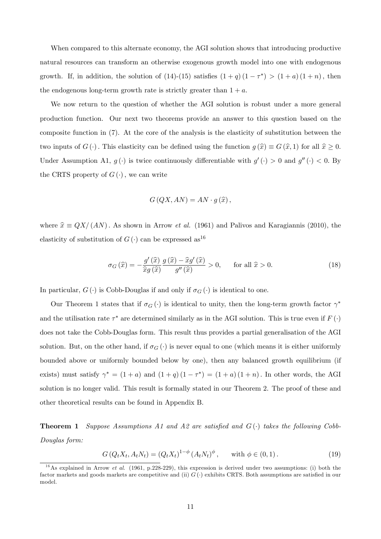When compared to this alternate economy, the AGI solution shows that introducing productive natural resources can transform an otherwise exogenous growth model into one with endogenous growth. If, in addition, the solution of  $(14)-(15)$  satisfies  $(1+q)(1-\tau^*) > (1+a)(1+n)$ , then the endogenous long-term growth rate is strictly greater than  $1 + a$ .

We now return to the question of whether the AGI solution is robust under a more general production function. Our next two theorems provide an answer to this question based on the composite function in (7). At the core of the analysis is the elasticity of substitution between the two inputs of  $G(\cdot)$ . This elasticity can be defined using the function  $g(\hat{x}) \equiv G(\hat{x}, 1)$  for all  $\hat{x} \ge 0$ . Under Assumption A1,  $g(\cdot)$  is twice continuously differentiable with  $g'(\cdot) > 0$  and  $g''(\cdot) < 0$ . By the CRTS property of  $G(\cdot)$ , we can write

$$
G(QX, AN) = AN \cdot g(\widehat{x}),
$$

where  $\hat{x} \equiv QX/(AN)$ . As shown in Arrow *et al.* (1961) and Palivos and Karagiannis (2010), the elasticity of substitution of  $G(\cdot)$  can be expressed as<sup>16</sup>

$$
\sigma_G\left(\widehat{x}\right) = -\frac{g'\left(\widehat{x}\right)}{\widehat{x}g\left(\widehat{x}\right)} \frac{g\left(\widehat{x}\right) - \widehat{x}g'\left(\widehat{x}\right)}{g''\left(\widehat{x}\right)} > 0, \quad \text{for all } \widehat{x} > 0. \tag{18}
$$

In particular,  $G(\cdot)$  is Cobb-Douglas if and only if  $\sigma_G(\cdot)$  is identical to one.

Our Theorem 1 states that if  $\sigma_G(\cdot)$  is identical to unity, then the long-term growth factor  $\gamma^*$ and the utilisation rate  $\tau^*$  are determined similarly as in the AGI solution. This is true even if  $F(\cdot)$ does not take the Cobb-Douglas form. This result thus provides a partial generalisation of the AGI solution. But, on the other hand, if  $\sigma_G(\cdot)$  is never equal to one (which means it is either uniformly bounded above or uniformly bounded below by one), then any balanced growth equilibrium (if exists) must satisfy  $\gamma^* = (1+a)$  and  $(1+q)(1-\tau^*) = (1+a)(1+n)$ . In other words, the AGI solution is no longer valid. This result is formally stated in our Theorem 2. The proof of these and other theoretical results can be found in Appendix B.

**Theorem 1** Suppose Assumptions A1 and A2 are satisfied and  $G(\cdot)$  takes the following Cobb-Douglas form:

 $G(Q_t X_t, A_t N_t) = (Q_t X_t)^{1-\phi} (A_t N_t)^{\phi}, \text{ with } \phi \in (0,1).$  (19)

<sup>&</sup>lt;sup>16</sup>As explained in Arrow *et al.* (1961, p.228-229), this expression is derived under two assumptions: (i) both the factor markets and goods markets are competitive and (ii)  $G(\cdot)$  exhibits CRTS. Both assumptions are satisfied in our model.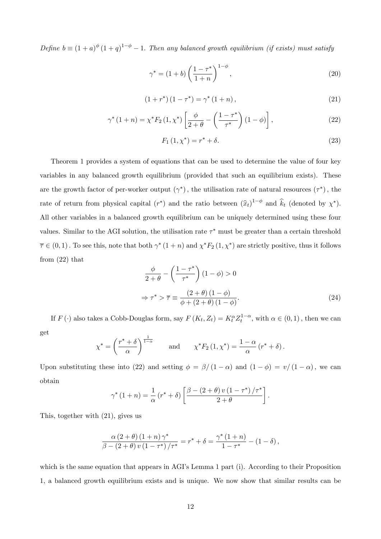Define  $b \equiv (1 + a)^{\phi} (1 + q)^{1 - \phi} - 1$ . Then any balanced growth equilibrium (if exists) must satisfy

$$
\gamma^* = (1+b) \left( \frac{1-\tau^*}{1+n} \right)^{1-\phi}, \tag{20}
$$

$$
(1 + r^*) (1 - \tau^*) = \gamma^* (1 + n), \qquad (21)
$$

$$
\gamma^* \left( 1 + n \right) = \chi^* F_2 \left( 1, \chi^* \right) \left[ \frac{\phi}{2 + \theta} - \left( \frac{1 - \tau^*}{\tau^*} \right) \left( 1 - \phi \right) \right],\tag{22}
$$

$$
F_1(1, \chi^*) = r^* + \delta. \tag{23}
$$

Theorem 1 provides a system of equations that can be used to determine the value of four key variables in any balanced growth equilibrium (provided that such an equilibrium exists). These are the growth factor of per-worker output  $(\gamma^*)$ , the utilisation rate of natural resources  $(\tau^*)$ , the rate of return from physical capital  $(r^*)$  and the ratio between  $(\hat{x}_t)^{1-\phi}$  and  $\hat{k}_t$  (denoted by  $\chi^*$ ). All other variables in a balanced growth equilibrium can be uniquely determined using these four values. Similar to the AGI solution, the utilisation rate  $\tau^*$  must be greater than a certain threshold  $\overline{\tau} \in (0,1)$ . To see this, note that both  $\gamma^*$   $(1+n)$  and  $\chi^* F_2$   $(1,\chi^*)$  are strictly positive, thus it follows from (22) that

$$
\frac{\phi}{2+\theta} - \left(\frac{1-\tau^*}{\tau^*}\right)(1-\phi) > 0
$$

$$
\Rightarrow \tau^* > \overline{\tau} \equiv \frac{(2+\theta)(1-\phi)}{\phi + (2+\theta)(1-\phi)}.
$$
(24)

If  $F(\cdot)$  also takes a Cobb-Douglas form, say  $F(K_t, Z_t) = K_t^{\alpha} Z_t^{1-\alpha}$ , with  $\alpha \in (0,1)$ , then we can get

$$
\chi^* = \left(\frac{r^* + \delta}{\alpha}\right)^{\frac{1}{1-\alpha}} \quad \text{and} \quad \chi^* F_2(1, \chi^*) = \frac{1-\alpha}{\alpha} (r^* + \delta).
$$

Upon substituting these into (22) and setting  $\phi = \frac{\beta}{1-\alpha}$  and  $(1-\phi) = \frac{v}{1-\alpha}$ , we can obtain

$$
\gamma^* (1+n) = \frac{1}{\alpha} (r^* + \delta) \left[ \frac{\beta - (2+\theta) v (1-\tau^*)/\tau^*}{2+\theta} \right].
$$

This, together with (21), gives us

$$
\frac{\alpha (2+\theta) (1+n) \, \gamma^*}{\beta - (2+\theta) \, v \, (1-\tau^*) / \tau^*} = r^* + \delta = \frac{\gamma^* (1+n)}{1-\tau^*} - (1-\delta) \,,
$$

which is the same equation that appears in AGI's Lemma 1 part (i). According to their Proposition 1, a balanced growth equilibrium exists and is unique. We now show that similar results can be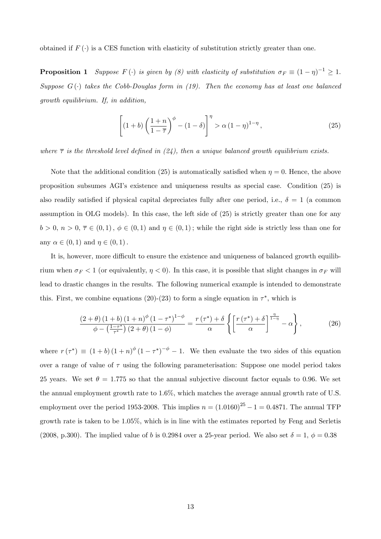obtained if  $F(\cdot)$  is a CES function with elasticity of substitution strictly greater than one.

**Proposition 1** Suppose  $F(\cdot)$  is given by (8) with elasticity of substitution  $\sigma_F \equiv (1 - \eta)^{-1} \geq 1$ . Suppose  $G(\cdot)$  takes the Cobb-Douglas form in (19). Then the economy has at least one balanced growth equilibrium. If, in addition,

$$
\left[ (1+b) \left( \frac{1+n}{1-\overline{\tau}} \right)^{\phi} - (1-\delta) \right]^{\eta} > \alpha \left( 1-\eta \right)^{1-\eta}, \tag{25}
$$

where  $\bar{\tau}$  is the threshold level defined in (24), then a unique balanced growth equilibrium exists.

Note that the additional condition (25) is automatically satisfied when  $\eta = 0$ . Hence, the above proposition subsumes AGIís existence and uniqueness results as special case. Condition (25) is also readily satisfied if physical capital depreciates fully after one period, i.e.,  $\delta = 1$  (a common assumption in OLG models). In this case, the left side of (25) is strictly greater than one for any  $b > 0, n > 0, \overline{\tau} \in (0, 1), \phi \in (0, 1)$  and  $\eta \in (0, 1)$ ; while the right side is strictly less than one for any  $\alpha \in (0, 1)$  and  $\eta \in (0, 1)$ .

It is, however, more difficult to ensure the existence and uniqueness of balanced growth equilibrium when  $\sigma_F < 1$  (or equivalently,  $\eta < 0$ ). In this case, it is possible that slight changes in  $\sigma_F$  will lead to drastic changes in the results. The following numerical example is intended to demonstrate this. First, we combine equations (20)-(23) to form a single equation in  $\tau^*$ , which is

$$
\frac{\left(2+\theta\right)\left(1+b\right)\left(1+n\right)^{\phi}\left(1-\tau^*\right)^{1-\phi}}{\phi-\left(\frac{1-\tau^*}{\tau^*}\right)\left(2+\theta\right)\left(1-\phi\right)}=\frac{r\left(\tau^*\right)+\delta}{\alpha}\left\{\left[\frac{r\left(\tau^*\right)+\delta}{\alpha}\right]^{\frac{\eta}{1-\eta}}-\alpha\right\},\tag{26}
$$

where  $r(\tau^*) \equiv (1+b)(1+n)^{\phi}(1-\tau^*)^{-\phi}-1$ . We then evaluate the two sides of this equation over a range of value of  $\tau$  using the following parameterisation: Suppose one model period takes 25 years. We set  $\theta = 1.775$  so that the annual subjective discount factor equals to 0.96. We set the annual employment growth rate to 1.6%, which matches the average annual growth rate of U.S. employment over the period 1953-2008. This implies  $n = (1.0160)^{25} - 1 = 0.4871$ . The annual TFP growth rate is taken to be 1.05%, which is in line with the estimates reported by Feng and Serletis (2008, p.300). The implied value of b is 0.2984 over a 25-year period. We also set  $\delta = 1, \phi = 0.38$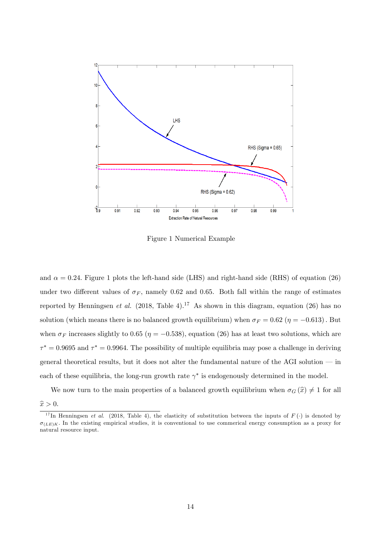

Figure 1 Numerical Example

and  $\alpha = 0.24$ . Figure 1 plots the left-hand side (LHS) and right-hand side (RHS) of equation (26) under two different values of  $\sigma_F$ , namely 0.62 and 0.65. Both fall within the range of estimates reported by Henningsen et al. (2018, Table 4).<sup>17</sup> As shown in this diagram, equation (26) has no solution (which means there is no balanced growth equilibrium) when  $\sigma_F = 0.62$  ( $\eta = -0.613$ ). But when  $\sigma_F$  increases slightly to 0.65 ( $\eta = -0.538$ ), equation (26) has at least two solutions, which are  $\tau^* = 0.9695$  and  $\tau^* = 0.9964$ . The possibility of multiple equilibria may pose a challenge in deriving general theoretical results, but it does not alter the fundamental nature of the AGI solution  $\overline{\phantom{a}}$  in each of these equilibria, the long-run growth rate  $\gamma^*$  is endogenously determined in the model.

We now turn to the main properties of a balanced growth equilibrium when  $\sigma_G(\hat{x}) \neq 1$  for all  $\widehat{x} > 0.$ 

<sup>&</sup>lt;sup>17</sup>In Henningsen *et al.* (2018, Table 4), the elasticity of substitution between the inputs of  $F(\cdot)$  is denoted by  $\sigma_{(LE)K}$ . In the existing empirical studies, it is conventional to use commerical energy consumption as a proxy for natural resource input.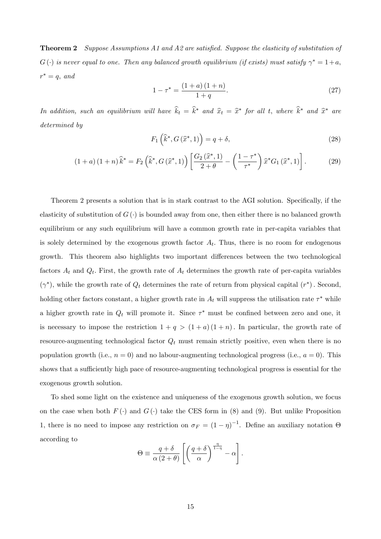**Theorem 2** Suppose Assumptions A1 and A2 are satisfied. Suppose the elasticity of substitution of  $G(\cdot)$  is never equal to one. Then any balanced growth equilibrium (if exists) must satisfy  $\gamma^*=1+a,$  $r^* = q$ , and

$$
1 - \tau^* = \frac{(1+a)(1+n)}{1+q}.
$$
\n(27)

In addition, such an equilibrium will have  $\hat{k}_t = \hat{k}^*$  and  $\hat{x}_t = \hat{x}^*$  for all t, where  $\hat{k}^*$  and  $\hat{x}^*$  are determined by

$$
F_1\left(\widehat{k}^*, G\left(\widehat{x}^*, 1\right)\right) = q + \delta,\tag{28}
$$

$$
(1+a)(1+n)\hat{k}^* = F_2\left(\hat{k}^*, G\left(\hat{x}^*, 1\right)\right) \left[\frac{G_2\left(\hat{x}^*, 1\right)}{2+\theta} - \left(\frac{1-\tau^*}{\tau^*}\right)\hat{x}^* G_1\left(\hat{x}^*, 1\right)\right].\tag{29}
$$

Theorem 2 presents a solution that is in stark contrast to the AGI solution. Specifically, if the elasticity of substitution of  $G(\cdot)$  is bounded away from one, then either there is no balanced growth equilibrium or any such equilibrium will have a common growth rate in per-capita variables that is solely determined by the exogenous growth factor  $A_t$ . Thus, there is no room for endogenous growth. This theorem also highlights two important differences between the two technological factors  $A_t$  and  $Q_t$ . First, the growth rate of  $A_t$  determines the growth rate of per-capita variables  $(\gamma^*)$ , while the growth rate of  $Q_t$  determines the rate of return from physical capital  $(r^*)$ . Second, holding other factors constant, a higher growth rate in  $A_t$  will suppress the utilisation rate  $\tau^*$  while a higher growth rate in  $Q_t$  will promote it. Since  $\tau^*$  must be confined between zero and one, it is necessary to impose the restriction  $1 + q > (1 + a)(1 + n)$ . In particular, the growth rate of resource-augmenting technological factor  $Q_t$  must remain strictly positive, even when there is no population growth (i.e.,  $n = 0$ ) and no labour-augmenting technological progress (i.e.,  $a = 0$ ). This shows that a sufficiently high pace of resource-augmenting technological progress is essential for the exogenous growth solution.

To shed some light on the existence and uniqueness of the exogenous growth solution, we focus on the case when both  $F(\cdot)$  and  $G(\cdot)$  take the CES form in (8) and (9). But unlike Proposition 1, there is no need to impose any restriction on  $\sigma_F = (1 - \eta)^{-1}$ . Define an auxiliary notation  $\Theta$ according to

$$
\Theta \equiv \frac{q+\delta}{\alpha (2+\theta)} \left[ \left( \frac{q+\delta}{\alpha} \right)^{\frac{\eta}{1-\eta}} - \alpha \right].
$$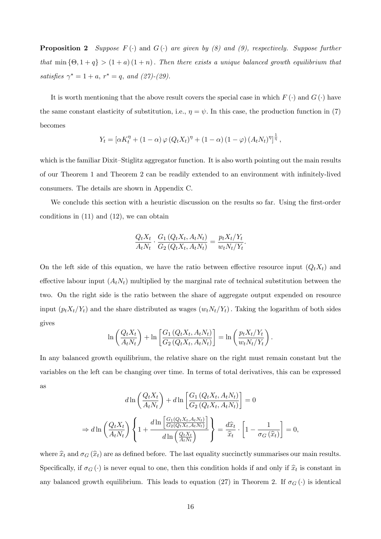**Proposition 2** Suppose  $F(\cdot)$  and  $G(\cdot)$  are given by (8) and (9), respectively. Suppose further that  $\min\{\Theta, 1 + q\} > (1 + a)(1 + n)$ . Then there exists a unique balanced growth equilibrium that satisfies  $\gamma^* = 1 + a$ ,  $r^* = q$ , and  $(27)$ - $(29)$ .

It is worth mentioning that the above result covers the special case in which  $F(\cdot)$  and  $G(\cdot)$  have the same constant elasticity of substitution, i.e.,  $\eta = \psi$ . In this case, the production function in (7) becomes

$$
Y_t = [\alpha K_t^{\eta} + (1 - \alpha) \varphi (Q_t X_t)^{\eta} + (1 - \alpha) (1 - \varphi) (A_t N_t)^{\eta}]^{\frac{1}{\eta}},
$$

which is the familiar Dixit–Stiglitz aggregator function. It is also worth pointing out the main results of our Theorem 1 and Theorem 2 can be readily extended to an environment with infinitely-lived consumers. The details are shown in Appendix C.

We conclude this section with a heuristic discussion on the results so far. Using the first-order conditions in  $(11)$  and  $(12)$ , we can obtain

$$
\frac{Q_t X_t}{A_t N_t} \cdot \frac{G_1\left(Q_t X_t, A_t N_t\right)}{G_2\left(Q_t X_t, A_t N_t\right)} = \frac{p_t X_t / Y_t}{w_t N_t / Y_t}.
$$

On the left side of this equation, we have the ratio between effective resource input  $(Q_t X_t)$  and effective labour input  $(A_tN_t)$  multiplied by the marginal rate of technical substitution between the two. On the right side is the ratio between the share of aggregate output expended on resource input  $(p_tX_t/Y_t)$  and the share distributed as wages  $(w_tN_t/Y_t)$ . Taking the logarithm of both sides gives

$$
\ln\left(\frac{Q_t X_t}{A_t N_t}\right) + \ln\left[\frac{G_1\left(Q_t X_t, A_t N_t\right)}{G_2\left(Q_t X_t, A_t N_t\right)}\right] = \ln\left(\frac{p_t X_t / Y_t}{w_t N_t / Y_t}\right).
$$

In any balanced growth equilibrium, the relative share on the right must remain constant but the variables on the left can be changing over time. In terms of total derivatives, this can be expressed as

$$
d\ln\left(\frac{Q_t X_t}{A_t N_t}\right) + d\ln\left[\frac{G_1\left(Q_t X_t, A_t N_t\right)}{G_2\left(Q_t X_t, A_t N_t\right)}\right] = 0
$$
  

$$
\Rightarrow d\ln\left(\frac{Q_t X_t}{A_t N_t}\right) \left\{1 + \frac{d\ln\left[\frac{G_1\left(Q_t X_t, A_t N_t\right)}{G_2\left(Q_t X_t, A_t N_t\right)}\right]}{d\ln\left(\frac{Q_t X_t}{A_t N_t}\right)}\right\} = \frac{d\hat{x}_t}{\hat{x}_t} \cdot \left[1 - \frac{1}{\sigma_G\left(\hat{x}_t\right)}\right] = 0,
$$

where  $\hat{x}_t$  and  $\sigma_G (\hat{x}_t)$  are as defined before. The last equality succinctly summarises our main results. Specifically, if  $\sigma_G(\cdot)$  is never equal to one, then this condition holds if and only if  $\hat{x}_t$  is constant in any balanced growth equilibrium. This leads to equation (27) in Theorem 2. If  $\sigma_G(\cdot)$  is identical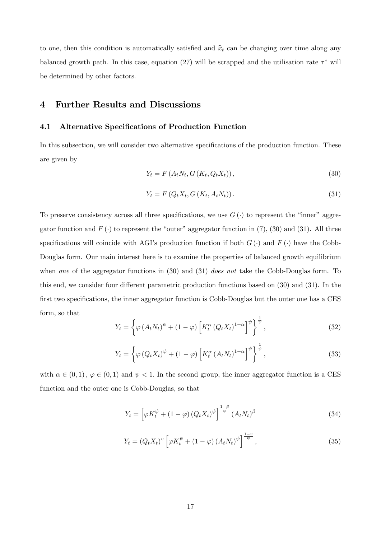to one, then this condition is automatically satisfied and  $\hat{x}_t$  can be changing over time along any balanced growth path. In this case, equation (27) will be scrapped and the utilisation rate  $\tau^*$  will be determined by other factors.

## 4 Further Results and Discussions

## 4.1 Alternative Specifications of Production Function

In this subsection, we will consider two alternative specifications of the production function. These are given by

$$
Y_{t} = F(A_{t}N_{t}, G(K_{t}, Q_{t}X_{t})), \qquad (30)
$$

$$
Y_t = F\left(Q_t X_t, G\left(K_t, A_t N_t\right)\right). \tag{31}
$$

To preserve consistency across all three specifications, we use  $G(\cdot)$  to represent the "inner" aggregator function and  $F(\cdot)$  to represent the "outer" aggregator function in (7), (30) and (31). All three specifications will coincide with AGI's production function if both  $G(\cdot)$  and  $F(\cdot)$  have the Cobb-Douglas form. Our main interest here is to examine the properties of balanced growth equilibrium when one of the aggregator functions in  $(30)$  and  $(31)$  does not take the Cobb-Douglas form. To this end, we consider four different parametric production functions based on  $(30)$  and  $(31)$ . In the first two specifications, the inner aggregator function is Cobb-Douglas but the outer one has a CES form, so that

$$
Y_t = \left\{ \varphi \left( A_t N_t \right)^{\psi} + (1 - \varphi) \left[ K_t^{\alpha} \left( Q_t X_t \right)^{1 - \alpha} \right]^{\psi} \right\}^{\frac{1}{\psi}}, \tag{32}
$$

$$
Y_t = \left\{ \varphi \left( Q_t X_t \right)^{\psi} + (1 - \varphi) \left[ K_t^{\alpha} \left( A_t N_t \right)^{1 - \alpha} \right]^{\psi} \right\}^{\frac{1}{\psi}}, \tag{33}
$$

with  $\alpha \in (0, 1), \varphi \in (0, 1)$  and  $\psi < 1$ . In the second group, the inner aggregator function is a CES function and the outer one is Cobb-Douglas, so that

$$
Y_t = \left[\varphi K_t^{\psi} + (1 - \varphi) \left(Q_t X_t\right)^{\psi}\right]^{\frac{1 - \beta}{\psi}} \left(A_t N_t\right)^{\beta} \tag{34}
$$

$$
Y_t = \left(Q_t X_t\right)^v \left[\varphi K_t^{\psi} + \left(1 - \varphi\right) \left(A_t N_t\right)^{\psi}\right]^{\frac{1 - v}{\psi}},\tag{35}
$$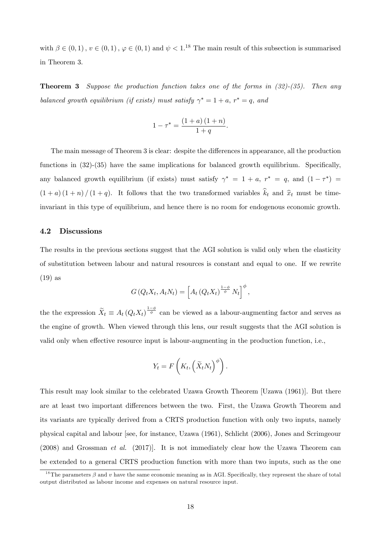with  $\beta \in (0,1)$ ,  $v \in (0,1)$ ,  $\varphi \in (0,1)$  and  $\psi < 1$ .<sup>18</sup> The main result of this subsection is summarised in Theorem 3.

**Theorem 3** Suppose the production function takes one of the forms in  $(32)-(35)$ . Then any balanced growth equilibrium (if exists) must satisfy  $\gamma^* = 1 + a$ ,  $r^* = q$ , and

$$
1 - \tau^* = \frac{(1 + a)(1 + n)}{1 + q}.
$$

The main message of Theorem 3 is clear: despite the differences in appearance, all the production functions in  $(32)-(35)$  have the same implications for balanced growth equilibrium. Specifically, any balanced growth equilibrium (if exists) must satisfy  $\gamma^* = 1 + a$ ,  $r^* = q$ , and  $(1 - \tau^*) =$  $(1 + a)(1 + n)/(1 + q)$ . It follows that the two transformed variables  $\hat{k}_t$  and  $\hat{x}_t$  must be timeinvariant in this type of equilibrium, and hence there is no room for endogenous economic growth.

#### 4.2 Discussions

The results in the previous sections suggest that the AGI solution is valid only when the elasticity of substitution between labour and natural resources is constant and equal to one. If we rewrite (19) as

$$
G\left(Q_t X_t, A_t N_t\right) = \left[A_t\left(Q_t X_t\right)^{\frac{1-\phi}{\phi}} N_t\right]^{\phi},
$$

the the expression  $\widetilde{X}_t \equiv A_t (Q_t X_t)^{\frac{1-\phi}{\phi}}$  can be viewed as a labour-augmenting factor and serves as the engine of growth. When viewed through this lens, our result suggests that the AGI solution is valid only when effective resource input is labour-augmenting in the production function, i.e.,

$$
Y_t = F\left(K_t, \left(\widetilde{X}_t N_t\right)^{\phi}\right).
$$

This result may look similar to the celebrated Uzawa Growth Theorem [Uzawa (1961)]. But there are at least two important differences between the two. First, the Uzawa Growth Theorem and its variants are typically derived from a CRTS production function with only two inputs, namely physical capital and labour [see, for instance, Uzawa (1961), Schlicht (2006), Jones and Scrimgeour (2008) and Grossman et al. (2017)]. It is not immediately clear how the Uzawa Theorem can be extended to a general CRTS production function with more than two inputs, such as the one

<sup>&</sup>lt;sup>18</sup>The parameters  $\beta$  and v have the same economic meaning as in AGI. Specifically, they represent the share of total output distributed as labour income and expenses on natural resource input.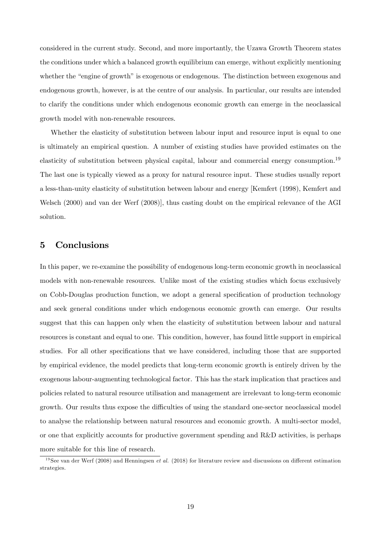considered in the current study. Second, and more importantly, the Uzawa Growth Theorem states the conditions under which a balanced growth equilibrium can emerge, without explicitly mentioning whether the "engine of growth" is exogenous or endogenous. The distinction between exogenous and endogenous growth, however, is at the centre of our analysis. In particular, our results are intended to clarify the conditions under which endogenous economic growth can emerge in the neoclassical growth model with non-renewable resources.

Whether the elasticity of substitution between labour input and resource input is equal to one is ultimately an empirical question. A number of existing studies have provided estimates on the elasticity of substitution between physical capital, labour and commercial energy consumption.<sup>19</sup> The last one is typically viewed as a proxy for natural resource input. These studies usually report a less-than-unity elasticity of substitution between labour and energy [Kemfert (1998), Kemfert and Welsch (2000) and van der Werf (2008)], thus casting doubt on the empirical relevance of the AGI solution.

# 5 Conclusions

In this paper, we re-examine the possibility of endogenous long-term economic growth in neoclassical models with non-renewable resources. Unlike most of the existing studies which focus exclusively on Cobb-Douglas production function, we adopt a general specification of production technology and seek general conditions under which endogenous economic growth can emerge. Our results suggest that this can happen only when the elasticity of substitution between labour and natural resources is constant and equal to one. This condition, however, has found little support in empirical studies. For all other specifications that we have considered, including those that are supported by empirical evidence, the model predicts that long-term economic growth is entirely driven by the exogenous labour-augmenting technological factor. This has the stark implication that practices and policies related to natural resource utilisation and management are irrelevant to long-term economic growth. Our results thus expose the difficulties of using the standard one-sector neoclassical model to analyse the relationship between natural resources and economic growth. A multi-sector model, or one that explicitly accounts for productive government spending and R&D activities, is perhaps more suitable for this line of research.

<sup>&</sup>lt;sup>19</sup>See van der Werf (2008) and Henningsen *et al.* (2018) for literature review and discussions on different estimation strategies.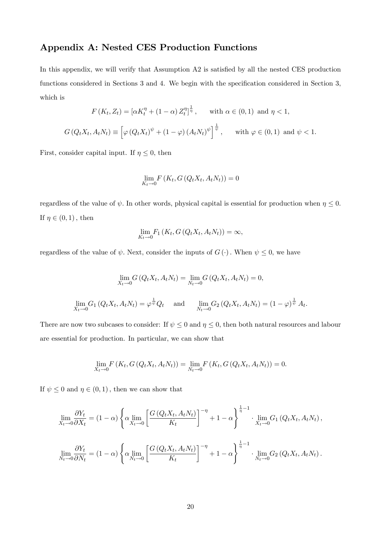# Appendix A: Nested CES Production Functions

In this appendix, we will verify that Assumption A2 is satisfied by all the nested CES production functions considered in Sections 3 and 4. We begin with the specification considered in Section 3, which is

$$
F(K_t, Z_t) = [\alpha K_t^{\eta} + (1 - \alpha) Z_t^{\eta}]^{\frac{1}{\eta}}, \quad \text{with } \alpha \in (0, 1) \text{ and } \eta < 1,
$$
  

$$
G(Q_t X_t, A_t N_t) \equiv \left[ \varphi (Q_t X_t)^{\psi} + (1 - \varphi) (A_t N_t)^{\psi} \right]^{\frac{1}{\psi}}, \quad \text{with } \varphi \in (0, 1) \text{ and } \psi < 1.
$$

First, consider capital input. If  $\eta \leq 0$ , then

$$
\lim_{K_t \to 0} F\left(K_t, G\left(Q_t X_t, A_t N_t\right)\right) = 0
$$

regardless of the value of  $\psi$ . In other words, physical capital is essential for production when  $\eta \leq 0$ . If  $\eta \in (0, 1)$ , then

$$
\lim_{K_t \to 0} F_1(K_t, G(Q_t X_t, A_t N_t)) = \infty,
$$

regardless of the value of  $\psi$ . Next, consider the inputs of  $G(\cdot)$ . When  $\psi \leq 0$ , we have

$$
\lim_{X_t \to 0} G(Q_t X_t, A_t N_t) = \lim_{N_t \to 0} G(Q_t X_t, A_t N_t) = 0,
$$
  

$$
\lim_{X_t \to 0} G_1(Q_t X_t, A_t N_t) = \varphi^{\frac{1}{\psi}} Q_t \quad \text{and} \quad \lim_{N_t \to 0} G_2(Q_t X_t, A_t N_t) = (1 - \varphi)^{\frac{1}{\psi}} A_t.
$$

There are now two subcases to consider: If  $\psi \leq 0$  and  $\eta \leq 0$ , then both natural resources and labour are essential for production. In particular, we can show that

$$
\lim_{X_t \to 0} F(K_t, G(Q_t X_t, A_t N_t)) = \lim_{N_t \to 0} F(K_t, G(Q_t X_t, A_t N_t)) = 0.
$$

If  $\psi \leq 0$  and  $\eta \in (0, 1)$ , then we can show that

$$
\lim_{X_t \to 0} \frac{\partial Y_t}{\partial X_t} = (1 - \alpha) \left\{ \alpha \lim_{X_t \to 0} \left[ \frac{G(Q_t X_t, A_t N_t)}{K_t} \right]^{-\eta} + 1 - \alpha \right\}^{\frac{1}{\eta} - 1} \cdot \lim_{X_t \to 0} G_1(Q_t X_t, A_t N_t),
$$
\n
$$
\lim_{N_t \to 0} \frac{\partial Y_t}{\partial N_t} = (1 - \alpha) \left\{ \alpha \lim_{N_t \to 0} \left[ \frac{G(Q_t X_t, A_t N_t)}{K_t} \right]^{-\eta} + 1 - \alpha \right\}^{\frac{1}{\eta} - 1} \cdot \lim_{N_t \to 0} G_2(Q_t X_t, A_t N_t).
$$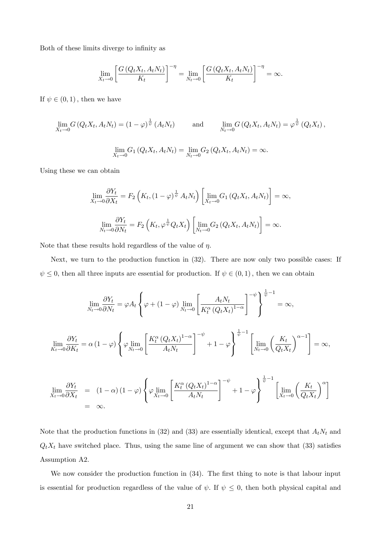Both of these limits diverge to infinity as

$$
\lim_{X_t \to 0} \left[ \frac{G\left(Q_t X_t, A_t N_t\right)}{K_t} \right]^{-\eta} = \lim_{N_t \to 0} \left[ \frac{G\left(Q_t X_t, A_t N_t\right)}{K_t} \right]^{-\eta} = \infty.
$$

If  $\psi \in (0, 1)$ , then we have

$$
\lim_{X_t \to 0} G\left(Q_t X_t, A_t N_t\right) = (1 - \varphi)^{\frac{1}{\psi}} \left(A_t N_t\right) \quad \text{and} \quad \lim_{N_t \to 0} G\left(Q_t X_t, A_t N_t\right) = \varphi^{\frac{1}{\psi}} \left(Q_t X_t\right),
$$
\n
$$
\lim_{X_t \to 0} G_1\left(Q_t X_t, A_t N_t\right) = \lim_{N_t \to 0} G_2\left(Q_t X_t, A_t N_t\right) = \infty.
$$

Using these we can obtain

$$
\lim_{X_t \to 0} \frac{\partial Y_t}{\partial X_t} = F_2 \left( K_t, (1 - \varphi)^{\frac{1}{\psi}} A_t N_t \right) \left[ \lim_{X_t \to 0} G_1 \left( Q_t X_t, A_t N_t \right) \right] = \infty,
$$
\n
$$
\lim_{N_t \to 0} \frac{\partial Y_t}{\partial N_t} = F_2 \left( K_t, \varphi^{\frac{1}{\psi}} Q_t X_t \right) \left[ \lim_{N_t \to 0} G_2 \left( Q_t X_t, A_t N_t \right) \right] = \infty.
$$

Note that these results hold regardless of the value of  $\eta$ .

Next, we turn to the production function in (32). There are now only two possible cases: If  $\psi \leq 0$ , then all three inputs are essential for production. If  $\psi \in (0, 1)$ , then we can obtain

$$
\lim_{N_t \to 0} \frac{\partial Y_t}{\partial N_t} = \varphi A_t \left\{ \varphi + (1 - \varphi) \lim_{N_t \to 0} \left[ \frac{A_t N_t}{K_t^{\alpha} (Q_t X_t)^{1 - \alpha}} \right]^{-\psi} \right\}^{\frac{1}{\psi} - 1} = \infty,
$$
\n
$$
\lim_{N_t \to 0} \frac{\partial Y_t}{\partial K_t} = \alpha (1 - \varphi) \left\{ \varphi \lim_{N_t \to 0} \left[ \frac{K_t^{\alpha} (Q_t X_t)^{1 - \alpha}}{A_t N_t} \right]^{-\psi} + 1 - \varphi \right\}^{\frac{1}{\psi} - 1} \left[ \lim_{N_t \to 0} \left( \frac{K_t}{Q_t X_t} \right)^{\alpha - 1} \right] = \infty,
$$

$$
\lim_{X_t \to 0} \frac{\partial Y_t}{\partial X_t} = (1 - \alpha) (1 - \varphi) \left\{ \varphi \lim_{X_t \to 0} \left[ \frac{K_t^{\alpha} (Q_t X_t)^{1 - \alpha}}{A_t N_t} \right]^{-\psi} + 1 - \varphi \right\}^{\overline{\psi}^{-1}} \left[ \lim_{X_t \to 0} \left( \frac{K_t}{Q_t X_t} \right)^{\alpha} \right]
$$
\n
$$
= \infty.
$$

Note that the production functions in (32) and (33) are essentially identical, except that  $A_tN_t$  and  $Q_t X_t$  have switched place. Thus, using the same line of argument we can show that (33) satisfies Assumption A2.

We now consider the production function in  $(34)$ . The first thing to note is that labour input is essential for production regardless of the value of  $\psi$ . If  $\psi \leq 0$ , then both physical capital and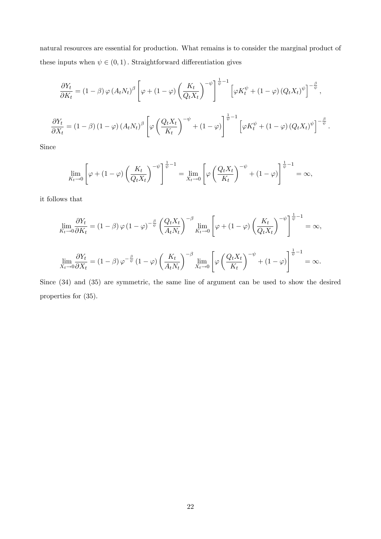natural resources are essential for production. What remains is to consider the marginal product of these inputs when  $\psi \in (0, 1)$ . Straightforward differentiation gives

$$
\frac{\partial Y_t}{\partial K_t} = (1 - \beta) \varphi (A_t N_t)^{\beta} \left[ \varphi + (1 - \varphi) \left( \frac{K_t}{Q_t X_t} \right)^{-\psi} \right]^{\frac{1}{\psi} - 1} \left[ \varphi K_t^{\psi} + (1 - \varphi) (Q_t X_t)^{\psi} \right]^{-\frac{\beta}{\psi}},
$$
  

$$
\frac{\partial Y_t}{\partial X_t} = (1 - \beta) (1 - \varphi) (A_t N_t)^{\beta} \left[ \varphi \left( \frac{Q_t X_t}{K_t} \right)^{-\psi} + (1 - \varphi) \right]^{\frac{1}{\psi} - 1} \left[ \varphi K_t^{\psi} + (1 - \varphi) (Q_t X_t)^{\psi} \right]^{-\frac{\beta}{\psi}}.
$$

Since

$$
\lim_{K_t \to 0} \left[ \varphi + (1 - \varphi) \left( \frac{K_t}{Q_t X_t} \right)^{-\psi} \right]^{\frac{1}{\psi} - 1} = \lim_{X_t \to 0} \left[ \varphi \left( \frac{Q_t X_t}{K_t} \right)^{-\psi} + (1 - \varphi) \right]^{\frac{1}{\psi} - 1} = \infty,
$$

it follows that

$$
\lim_{K_t \to 0} \frac{\partial Y_t}{\partial K_t} = (1 - \beta) \varphi (1 - \varphi)^{-\frac{\beta}{\psi}} \left( \frac{Q_t X_t}{A_t N_t} \right)^{-\beta} \lim_{K_t \to 0} \left[ \varphi + (1 - \varphi) \left( \frac{K_t}{Q_t X_t} \right)^{-\psi} \right]^{\frac{1}{\psi} - 1} = \infty,
$$
\n
$$
\lim_{X_t \to 0} \frac{\partial Y_t}{\partial X_t} = (1 - \beta) \varphi^{-\frac{\beta}{\psi}} (1 - \varphi) \left( \frac{K_t}{A_t N_t} \right)^{-\beta} \lim_{X_t \to 0} \left[ \varphi \left( \frac{Q_t X_t}{K_t} \right)^{-\psi} + (1 - \varphi) \right]^{\frac{1}{\psi} - 1} = \infty.
$$

Since (34) and (35) are symmetric, the same line of argument can be used to show the desired properties for (35).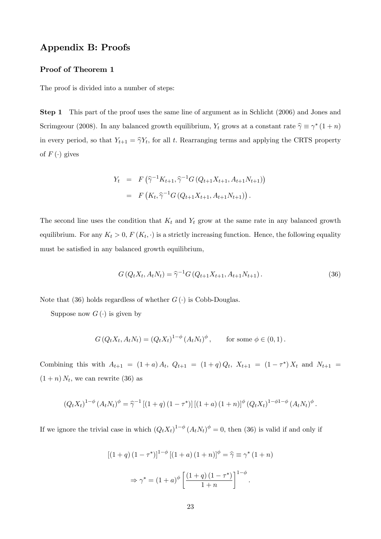# Appendix B: Proofs

## Proof of Theorem 1

The proof is divided into a number of steps:

Step 1 This part of the proof uses the same line of argument as in Schlicht (2006) and Jones and Scrimgeour (2008). In any balanced growth equilibrium,  $Y_t$  grows at a constant rate  $\hat{\gamma} \equiv \gamma^* (1 + n)$ in every period, so that  $Y_{t+1} = \hat{\gamma} Y_t$ , for all t. Rearranging terms and applying the CRTS property of  $F(\cdot)$  gives

$$
Y_t = F\left(\widehat{\gamma}^{-1}K_{t+1}, \widehat{\gamma}^{-1}G\left(Q_{t+1}X_{t+1}, A_{t+1}N_{t+1}\right)\right)
$$
  
=  $F\left(K_t, \widehat{\gamma}^{-1}G\left(Q_{t+1}X_{t+1}, A_{t+1}N_{t+1}\right)\right).$ 

The second line uses the condition that  $K_t$  and  $Y_t$  grow at the same rate in any balanced growth equilibrium. For any  $K_t > 0$ ,  $F(K_t, \cdot)$  is a strictly increasing function. Hence, the following equality must be satisfied in any balanced growth equilibrium,

$$
G(Q_t X_t, A_t N_t) = \hat{\gamma}^{-1} G(Q_{t+1} X_{t+1}, A_{t+1} N_{t+1}).
$$
\n(36)

Note that (36) holds regardless of whether  $G(\cdot)$  is Cobb-Douglas.

Suppose now  $G(\cdot)$  is given by

$$
G(Q_t X_t, A_t N_t) = (Q_t X_t)^{1-\phi} (A_t N_t)^{\phi}, \quad \text{for some } \phi \in (0,1).
$$

Combining this with  $A_{t+1} = (1+a) A_t$ ,  $Q_{t+1} = (1+q) Q_t$ ,  $X_{t+1} = (1-\tau^*) X_t$  and  $N_{t+1} =$  $(1+n) N_t$ , we can rewrite (36) as

$$
(Q_t X_t)^{1-\phi} (A_t N_t)^{\phi} = \hat{\gamma}^{-1} [(1+q) (1-\tau^*)] [(1+a) (1+n)]^{\phi} (Q_t X_t)^{1-\phi(1-\phi)} (A_t N_t)^{\phi}.
$$

If we ignore the trivial case in which  $(Q_t X_t)^{1-\phi} (A_t N_t)^{\phi} = 0$ , then (36) is valid if and only if

$$
[(1+q)(1-\tau^*)]^{1-\phi}[(1+a)(1+n)]^{\phi} = \hat{\gamma} \equiv \gamma^* (1+n)
$$

$$
\Rightarrow \gamma^* = (1+a)^{\phi} \left[ \frac{(1+q)(1-\tau^*)}{1+n} \right]^{1-\phi}.
$$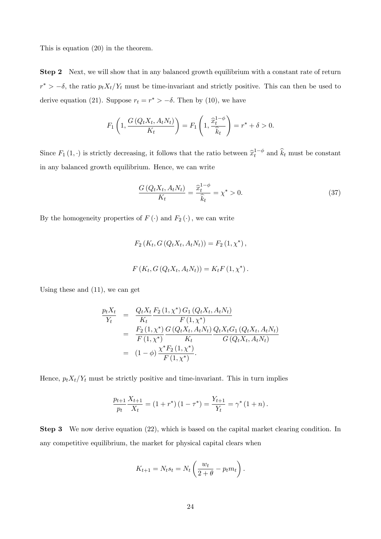This is equation (20) in the theorem.

Step 2 Next, we will show that in any balanced growth equilibrium with a constant rate of return  $r^* > -\delta$ , the ratio  $p_t X_t/Y_t$  must be time-invariant and strictly positive. This can then be used to derive equation (21). Suppose  $r_t = r^* > -\delta$ . Then by (10), we have

$$
F_1\left(1, \frac{G\left(Q_t X_t, A_t N_t\right)}{K_t}\right) = F_1\left(1, \frac{\widehat{x}_t^{1-\phi}}{\widehat{k}_t}\right) = r^* + \delta > 0.
$$

Since  $F_1(1, \cdot)$  is strictly decreasing, it follows that the ratio between  $\hat{x}_t^{1-\phi}$  $t_t^{1-\varphi}$  and  $k_t$  must be constant in any balanced growth equilibrium. Hence, we can write

$$
\frac{G(Q_t X_t, A_t N_t)}{K_t} = \frac{\hat{x}_t^{1-\phi}}{\hat{k}_t} = \chi^* > 0.
$$
\n(37)

By the homogeneity properties of  $F(\cdot)$  and  $F_2(\cdot)$ , we can write

$$
F_2(K_t, G(Q_tX_t, A_tN_t)) = F_2(1, \chi^*),
$$
  

$$
F(K_t, G(Q_tX_t, A_tN_t)) = K_tF(1, \chi^*).
$$

Using these and (11), we can get

$$
\frac{p_t X_t}{Y_t} = \frac{Q_t X_t}{K_t} \frac{F_2 (1, \chi^*) G_1 (Q_t X_t, A_t N_t)}{F (1, \chi^*)}
$$
\n
$$
= \frac{F_2 (1, \chi^*) G (Q_t X_t, A_t N_t)}{F (1, \chi^*) G (Q_t X_t, A_t N_t)} \frac{Q_t X_t G_1 (Q_t X_t, A_t N_t)}{G (Q_t X_t, A_t N_t)}
$$
\n
$$
= (1 - \phi) \frac{\chi^* F_2 (1, \chi^*)}{F (1, \chi^*)}.
$$

Hence,  $p_t X_t/Y_t$  must be strictly positive and time-invariant. This in turn implies

$$
\frac{p_{t+1}}{p_t} \frac{X_{t+1}}{X_t} = (1+r^*) (1-\tau^*) = \frac{Y_{t+1}}{Y_t} = \gamma^* (1+n).
$$

Step 3 We now derive equation (22), which is based on the capital market clearing condition. In any competitive equilibrium, the market for physical capital clears when

$$
K_{t+1} = N_t s_t = N_t \left(\frac{w_t}{2 + \theta} - p_t m_t\right).
$$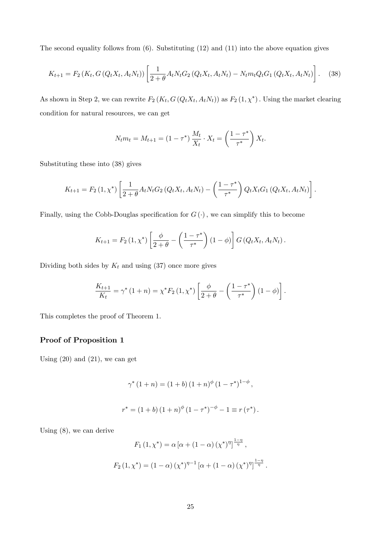The second equality follows from (6). Substituting (12) and (11) into the above equation gives

$$
K_{t+1} = F_2(K_t, G(Q_t X_t, A_t N_t)) \left[ \frac{1}{2 + \theta} A_t N_t G_2(Q_t X_t, A_t N_t) - N_t m_t Q_t G_1(Q_t X_t, A_t N_t) \right].
$$
 (38)

As shown in Step 2, we can rewrite  $F_2(K_t, G(Q_t X_t, A_t N_t))$  as  $F_2(1, \chi^*)$ . Using the market clearing condition for natural resources, we can get

$$
N_t m_t = M_{t+1} = (1 - \tau^*) \frac{M_t}{X_t} \cdot X_t = \left(\frac{1 - \tau^*}{\tau^*}\right) X_t.
$$

Substituting these into (38) gives

$$
K_{t+1} = F_2(1, \chi^*) \left[ \frac{1}{2 + \theta} A_t N_t G_2 (Q_t X_t, A_t N_t) - \left( \frac{1 - \tau^*}{\tau^*} \right) Q_t X_t G_1 (Q_t X_t, A_t N_t) \right].
$$

Finally, using the Cobb-Douglas specification for  $G(\cdot)$ , we can simplify this to become

$$
K_{t+1} = F_2(1, \chi^*) \left[ \frac{\phi}{2+\theta} - \left( \frac{1-\tau^*}{\tau^*} \right) (1-\phi) \right] G(Q_t X_t, A_t N_t).
$$

Dividing both sides by  $K_t$  and using (37) once more gives

$$
\frac{K_{t+1}}{K_t} = \gamma^* (1+n) = \chi^* F_2 (1, \chi^*) \left[ \frac{\phi}{2+\theta} - \left( \frac{1-\tau^*}{\tau^*} \right) (1-\phi) \right].
$$

This completes the proof of Theorem 1.

## Proof of Proposition 1

Using  $(20)$  and  $(21)$ , we can get

$$
\gamma^* (1+n) = (1+b) (1+n)^{\phi} (1-\tau^*)^{1-\phi},
$$
  

$$
r^* = (1+b) (1+n)^{\phi} (1-\tau^*)^{-\phi} - 1 \equiv r(\tau^*).
$$

Using (8), we can derive

$$
F_1(1, \chi^*) = \alpha [\alpha + (1 - \alpha) (\chi^*)^{\eta}]^{\frac{1 - \eta}{\eta}},
$$
  

$$
F_2(1, \chi^*) = (1 - \alpha) (\chi^*)^{\eta - 1} [\alpha + (1 - \alpha) (\chi^*)^{\eta}]^{\frac{1 - \eta}{\eta}}.
$$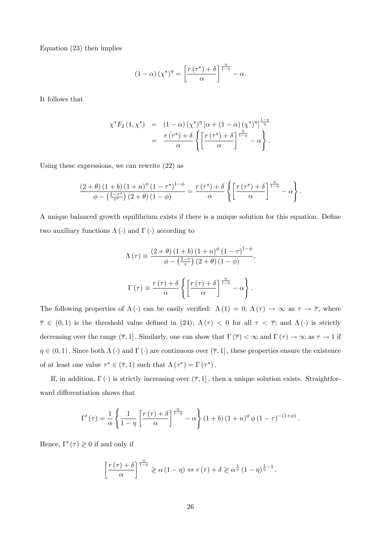Equation (23) then implies

$$
(1 - \alpha) (\chi^*)^{\eta} = \left[ \frac{r(\tau^*) + \delta}{\alpha} \right]^{\frac{\eta}{1 - \eta}} - \alpha.
$$

It follows that

$$
\chi^* F_2(1, \chi^*) = (1 - \alpha) (\chi^*)^{\eta} [\alpha + (1 - \alpha) (\chi^*)^{\eta}]^{\frac{1 - \eta}{\eta}} \n= \frac{r(\tau^*) + \delta}{\alpha} \left\{ \left[ \frac{r(\tau^*) + \delta}{\alpha} \right]^{\frac{\eta}{1 - \eta}} - \alpha \right\}.
$$

Using these expressions, we can rewrite (22) as

$$
\frac{\left(2+\theta\right)\left(1+b\right)\left(1+n\right)^{\phi}\left(1-\tau^*\right)^{1-\phi}}{\phi-\left(\frac{1-\tau^*}{\tau^*}\right)\left(2+\theta\right)\left(1-\phi\right)}=\frac{r\left(\tau^*\right)+\delta}{\alpha}\left\{\left[\frac{r\left(\tau^*\right)+\delta}{\alpha}\right]^{\frac{\eta}{1-\eta}}-\alpha\right\}.
$$

A unique balanced growth equilibrium exists if there is a unique solution for this equation. Define two auxiliary functions  $\Lambda(\cdot)$  and  $\Gamma(\cdot)$  according to

$$
\Lambda(\tau) \equiv \frac{(2+\theta)(1+b)(1+n)^{\phi}(1-\tau)^{1-\phi}}{\phi - (\frac{1-\tau}{\tau})(2+\theta)(1-\phi)},
$$

$$
\Gamma(\tau) \equiv \frac{r(\tau) + \delta}{\alpha} \left\{ \left[ \frac{r(\tau) + \delta}{\alpha} \right]^{\frac{\eta}{1-\eta}} - \alpha \right\}.
$$

The following properties of  $\Lambda(\cdot)$  can be easily verified:  $\Lambda(1) = 0$ ;  $\Lambda(\tau) \to \infty$  as  $\tau \to \overline{\tau}$ , where  $\overline{\tau} \in (0,1)$  is the threshold value defined in (24);  $\Lambda(\tau) < 0$  for all  $\tau < \overline{\tau}$ ; and  $\Lambda(\cdot)$  is strictly decreasing over the range  $(\overline{\tau}, 1]$ . Similarly, one can show that  $\Gamma(\overline{\tau}) < \infty$  and  $\Gamma(\tau) \to \infty$  as  $\tau \to 1$  if  $\eta \in (0, 1)$ . Since both  $\Lambda(\cdot)$  and  $\Gamma(\cdot)$  are continuous over  $(\overline{\tau}, 1]$ , these properties ensure the existence of at least one value  $\tau^* \in (\overline{\tau}, 1)$  such that  $\Lambda(\tau^*) = \Gamma(\tau^*)$ .

If, in addition,  $\Gamma(\cdot)$  is strictly increasing over  $(\overline{\tau}, 1]$ , then a unique solution exists. Straightforward differentiation shows that

$$
\Gamma'(\tau) = \frac{1}{\alpha} \left\{ \frac{1}{1-\eta} \left[ \frac{r(\tau) + \delta}{\alpha} \right]^{\frac{\eta}{1-\eta}} - \alpha \right\} (1+b) (1+n)^{\phi} \phi (1-\tau)^{-(1+\phi)}.
$$

Hence,  $\Gamma'(\tau) \geq 0$  if and only if

$$
\left[\frac{r(\tau)+\delta}{\alpha}\right]^{\frac{\eta}{1-\eta}} \geqslant \alpha(1-\eta) \Leftrightarrow r(\tau)+\delta \geqslant \alpha^{\frac{1}{\eta}}(1-\eta)^{\frac{1}{\eta}-1}.
$$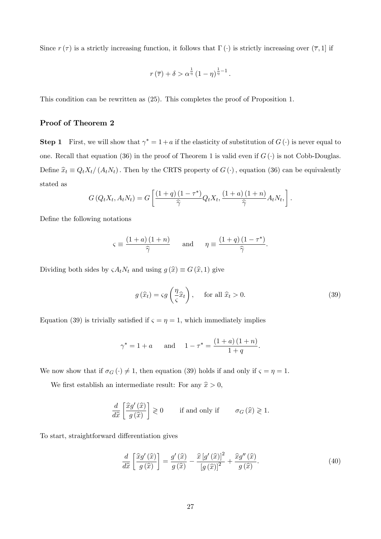Since  $r(\tau)$  is a strictly increasing function, it follows that  $\Gamma(\cdot)$  is strictly increasing over  $(\overline{\tau}, 1]$  if

$$
r(\overline{\tau}) + \delta > \alpha^{\frac{1}{\eta}} (1 - \eta)^{\frac{1}{\eta} - 1}.
$$

This condition can be rewritten as (25). This completes the proof of Proposition 1.

## Proof of Theorem 2

**Step 1** First, we will show that  $\gamma^* = 1 + a$  if the elasticity of substitution of  $G(\cdot)$  is never equal to one. Recall that equation (36) in the proof of Theorem 1 is valid even if  $G(\cdot)$  is not Cobb-Douglas. Define  $\hat{x}_t \equiv Q_tX_t/(A_tN_t)$ . Then by the CRTS property of  $G(\cdot)$ , equation (36) can be equivalently stated as

$$
G\left(Q_t X_t, A_t N_t\right) = G\left[\frac{\left(1+q\right)\left(1-\tau^*\right)}{\widehat{\gamma}} Q_t X_t, \frac{\left(1+a\right)\left(1+n\right)}{\widehat{\gamma}} A_t N_t, \right].
$$

Define the following notations

$$
\varsigma \equiv \frac{(1+a)(1+n)}{\widehat{\gamma}} \quad \text{and} \quad \eta \equiv \frac{(1+q)(1-\tau^*)}{\widehat{\gamma}}
$$

Dividing both sides by  $\varsigma A_t N_t$  and using  $g(\hat{x}) \equiv G(\hat{x}, 1)$  give

$$
g\left(\widehat{x}_t\right) = \varsigma g\left(\frac{\eta}{\varsigma}\widehat{x}_t\right), \quad \text{ for all } \widehat{x}_t > 0. \tag{39}
$$

:

Equation (39) is trivially satisfied if  $\varsigma = \eta = 1$ , which immediately implies

$$
\gamma^* = 1 + a
$$
 and  $1 - \tau^* = \frac{(1 + a)(1 + n)}{1 + q}$ .

We now show that if  $\sigma_G(\cdot) \neq 1$ , then equation (39) holds if and only if  $\varsigma = \eta = 1$ .

We first establish an intermediate result: For any  $\hat{x} > 0$ ,

$$
\frac{d}{d\hat{x}} \left[ \frac{\hat{x}g'(\hat{x})}{g(\hat{x})} \right] \geq 0 \quad \text{if and only if} \quad \sigma_G(\hat{x}) \geq 1.
$$

To start, straightforward differentiation gives

$$
\frac{d}{d\hat{x}}\left[\frac{\hat{x}g'(\hat{x})}{g(\hat{x})}\right] = \frac{g'(\hat{x})}{g(\hat{x})} - \frac{\hat{x}[g'(\hat{x})]^2}{[g(\hat{x})]^2} + \frac{\hat{x}g''(\hat{x})}{g(\hat{x})}.
$$
\n(40)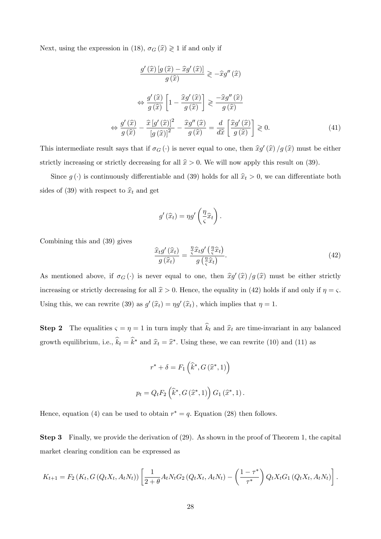Next, using the expression in (18),  $\sigma_G\left(\widehat{x}\right)\gtrless 1$  if and only if

$$
\frac{g'(\widehat{x}) [g(\widehat{x}) - \widehat{x}g'(\widehat{x})]}{g(\widehat{x})} \ge -\widehat{x}g''(\widehat{x})
$$

$$
\Leftrightarrow \frac{g'(\widehat{x})}{g(\widehat{x})} \left[1 - \frac{\widehat{x}g'(\widehat{x})}{g(\widehat{x})}\right] \ge \frac{-\widehat{x}g''(\widehat{x})}{g(\widehat{x})}
$$

$$
\Leftrightarrow \frac{g'(\widehat{x})}{g(\widehat{x})} - \frac{\widehat{x}[g'(\widehat{x})]^2}{[g(\widehat{x})]^2} - \frac{\widehat{x}g''(\widehat{x})}{g(\widehat{x})} = \frac{d}{d\widehat{x}} \left[\frac{\widehat{x}g'(\widehat{x})}{g(\widehat{x})}\right] \ge 0.
$$
(41)

This intermediate result says that if  $\sigma_G(\cdot)$  is never equal to one, then  $\hat{x}g'(\hat{x})/g(\hat{x})$  must be either strictly increasing or strictly decreasing for all  $\hat{x} > 0$ . We will now apply this result on (39).

Since  $g(\cdot)$  is continuously differentiable and (39) holds for all  $\hat{x}_t > 0$ , we can differentiate both sides of (39) with respect to  $\hat{x}_t$  and get

$$
g'(\widehat{x}_t) = \eta g' \left(\frac{\eta}{\varsigma} \widehat{x}_t\right).
$$

Combining this and (39) gives

$$
\frac{\widehat{x}_t g'(\widehat{x}_t)}{g(\widehat{x}_t)} = \frac{\frac{\eta}{\zeta} \widehat{x}_t g'(\frac{\eta}{\zeta} \widehat{x}_t)}{g(\frac{\eta}{\zeta} \widehat{x}_t)}.
$$
\n(42)

As mentioned above, if  $\sigma_G(\cdot)$  is never equal to one, then  $\hat{x}g'(\hat{x})/g(\hat{x})$  must be either strictly increasing or strictly decreasing for all  $\hat{x} > 0$ . Hence, the equality in (42) holds if and only if  $\eta = \varsigma$ . Using this, we can rewrite (39) as  $g'(\hat{x}_t) = \eta g'(\hat{x}_t)$ , which implies that  $\eta = 1$ .

**Step 2** The equalities  $\varsigma = \eta = 1$  in turn imply that  $\hat{k}_t$  and  $\hat{x}_t$  are time-invariant in any balanced growth equilibrium, i.e.,  $\hat{k}_t = \hat{k}^*$  and  $\hat{x}_t = \hat{x}^*$ . Using these, we can rewrite (10) and (11) as

$$
r^* + \delta = F_1\left(\hat{k}^*, G\left(\hat{x}^*, 1\right)\right)
$$

$$
p_t = Q_t F_2\left(\hat{k}^*, G\left(\hat{x}^*, 1\right)\right) G_1\left(\hat{x}^*, 1\right).
$$

Hence, equation (4) can be used to obtain  $r^* = q$ . Equation (28) then follows.

Step 3 Finally, we provide the derivation of (29). As shown in the proof of Theorem 1, the capital market clearing condition can be expressed as

$$
K_{t+1} = F_2(K_t, G(Q_t X_t, A_t N_t)) \left[ \frac{1}{2 + \theta} A_t N_t G_2(Q_t X_t, A_t N_t) - \left( \frac{1 - \tau^*}{\tau^*} \right) Q_t X_t G_1(Q_t X_t, A_t N_t) \right].
$$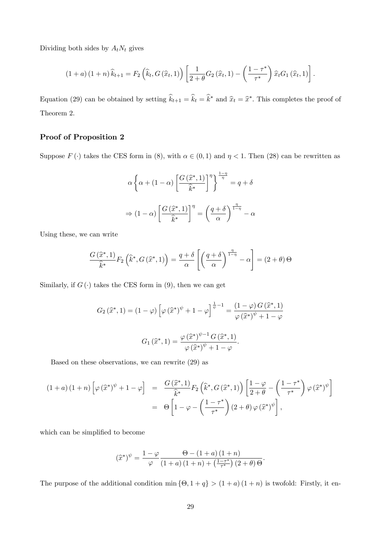Dividing both sides by  $A_t N_t$  gives

$$
(1+a)(1+n)\,\widehat{k}_{t+1} = F_2\left(\widehat{k}_t, G\left(\widehat{x}_t, 1\right)\right) \left[\frac{1}{2+\theta}G_2\left(\widehat{x}_t, 1\right) - \left(\frac{1-\tau^*}{\tau^*}\right)\widehat{x}_t G_1\left(\widehat{x}_t, 1\right)\right].
$$

Equation (29) can be obtained by setting  $\hat{k}_{t+1} = \hat{k}_t = \hat{k}^*$  and  $\hat{x}_t = \hat{x}^*$ . This completes the proof of Theorem 2.

# Proof of Proposition 2

Suppose  $F(\cdot)$  takes the CES form in (8), with  $\alpha \in (0,1)$  and  $\eta < 1$ . Then (28) can be rewritten as

$$
\alpha \left\{ \alpha + (1 - \alpha) \left[ \frac{G\left(\widehat{x}^*, 1\right)}{\widehat{k}^*} \right]^{\eta} \right\}^{\frac{1 - \eta}{\eta}} = q + \delta
$$

$$
\Rightarrow (1 - \alpha) \left[ \frac{G\left(\widehat{x}^*, 1\right)}{\widehat{k}^*} \right]^{\eta} = \left( \frac{q + \delta}{\alpha} \right)^{\frac{\eta}{1 - \eta}} - \alpha
$$

Using these, we can write

$$
\frac{G\left(\widehat{x}^*,1\right)}{\widehat{k}^*}F_2\left(\widehat{k}^*,G\left(\widehat{x}^*,1\right)\right)=\frac{q+\delta}{\alpha}\left[\left(\frac{q+\delta}{\alpha}\right)^{\frac{\eta}{1-\eta}}-\alpha\right]=(2+\theta)\Theta
$$

Similarly, if  $G(\cdot)$  takes the CES form in (9), then we can get

$$
G_2(\hat{x}^*, 1) = (1 - \varphi) \left[ \varphi(\hat{x}^*)^{\psi} + 1 - \varphi \right]^{\frac{1}{\psi} - 1} = \frac{(1 - \varphi) G(\hat{x}^*, 1)}{\varphi(\hat{x}^*)^{\psi} + 1 - \varphi}
$$

$$
G_1(\hat{x}^*, 1) = \frac{\varphi(\hat{x}^*)^{\psi - 1} G(\hat{x}^*, 1)}{\varphi(\hat{x}^*)^{\psi} + 1 - \varphi}.
$$

Based on these observations, we can rewrite (29) as

$$
(1+a)(1+n)\left[\varphi(\widehat{x}^*)^{\psi}+1-\varphi\right] = \frac{G(\widehat{x}^*,1)}{\widehat{k}^*}F_2\left(\widehat{k}^*,G(\widehat{x}^*,1)\right)\left[\frac{1-\varphi}{2+\theta}-\left(\frac{1-\tau^*}{\tau^*}\right)\varphi(\widehat{x}^*)^{\psi}\right]
$$

$$
= \Theta\left[1-\varphi-\left(\frac{1-\tau^*}{\tau^*}\right)(2+\theta)\varphi(\widehat{x}^*)^{\psi}\right],
$$

which can be simplified to become

$$
(\widehat{x}^*)^{\psi} = \frac{1-\varphi}{\varphi} \frac{\Theta - (1+a)(1+n)}{(1+a)(1+n) + (\frac{1-\tau^*}{\tau^*}) (2+\theta)\Theta}.
$$

The purpose of the additional condition  $\min \{ \Theta, 1 + q \} > (1 + a) (1 + n)$  is twofold: Firstly, it en-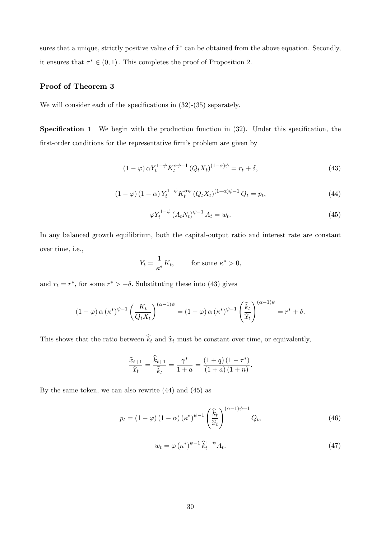sures that a unique, strictly positive value of  $\hat{x}^*$  can be obtained from the above equation. Secondly, it ensures that  $\tau^* \in (0, 1)$ . This completes the proof of Proposition 2.

## Proof of Theorem 3

We will consider each of the specifications in  $(32)-(35)$  separately.

**Specification 1** We begin with the production function in  $(32)$ . Under this specification, the first-order conditions for the representative firm's problem are given by

$$
(1 - \varphi) \alpha Y_t^{1 - \psi} K_t^{\alpha \psi - 1} (Q_t X_t)^{(1 - \alpha)\psi} = r_t + \delta,
$$
\n
$$
(43)
$$

$$
(1 - \varphi) (1 - \alpha) Y_t^{1 - \psi} K_t^{\alpha \psi} (Q_t X_t)^{(1 - \alpha) \psi - 1} Q_t = p_t,
$$
\n(44)

$$
\varphi Y_t^{1-\psi} \left( A_t N_t \right)^{\psi-1} A_t = w_t. \tag{45}
$$

In any balanced growth equilibrium, both the capital-output ratio and interest rate are constant over time, i.e.,

$$
Y_t = \frac{1}{\kappa^*} K_t, \qquad \text{for some } \kappa^* > 0,
$$

and  $r_t = r^*$ , for some  $r^* > -\delta$ . Substituting these into (43) gives

$$
(1 - \varphi) \alpha (\kappa^*)^{\psi - 1} \left( \frac{K_t}{Q_t X_t} \right)^{(\alpha - 1)\psi} = (1 - \varphi) \alpha (\kappa^*)^{\psi - 1} \left( \frac{\widehat{k}_t}{\widehat{x}_t} \right)^{(\alpha - 1)\psi} = r^* + \delta.
$$

This shows that the ratio between  $\hat{k}_t$  and  $\hat{x}_t$  must be constant over time, or equivalently,

$$
\frac{\widehat{x}_{t+1}}{\widehat{x}_t} = \frac{\widehat{k}_{t+1}}{\widehat{k}_t} = \frac{\gamma^*}{1+a} = \frac{(1+q)(1-\tau^*)}{(1+a)(1+n)}.
$$

By the same token, we can also rewrite (44) and (45) as

$$
p_t = (1 - \varphi) (1 - \alpha) (\kappa^*)^{\psi - 1} \left(\frac{\widehat{k}_t}{\widehat{x}_t}\right)^{(\alpha - 1)\psi + 1} Q_t,
$$
\n(46)

$$
w_t = \varphi \left(\kappa^*\right)^{\psi-1} \hat{k}_t^{1-\psi} A_t. \tag{47}
$$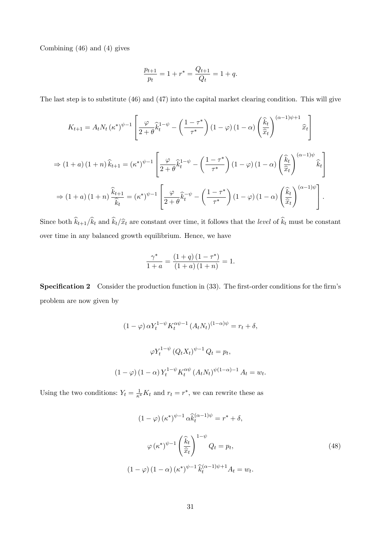Combining (46) and (4) gives

$$
\frac{p_{t+1}}{p_t} = 1 + r^* = \frac{Q_{t+1}}{Q_t} = 1 + q.
$$

The last step is to substitute (46) and (47) into the capital market clearing condition. This will give

$$
K_{t+1} = A_t N_t (\kappa^*)^{\psi-1} \left[ \frac{\varphi}{2+\theta} \hat{k}_t^{1-\psi} - \left( \frac{1-\tau^*}{\tau^*} \right) (1-\varphi) (1-\alpha) \left( \frac{\hat{k}_t}{\hat{x}_t} \right)^{(\alpha-1)\psi+1} \hat{x}_t \right]
$$
  
\n
$$
\Rightarrow (1+a) (1+n) \hat{k}_{t+1} = (\kappa^*)^{\psi-1} \left[ \frac{\varphi}{2+\theta} \hat{k}_t^{1-\psi} - \left( \frac{1-\tau^*}{\tau^*} \right) (1-\varphi) (1-\alpha) \left( \frac{\hat{k}_t}{\hat{x}_t} \right)^{(\alpha-1)\psi} \hat{k}_t \right]
$$
  
\n
$$
\Rightarrow (1+a) (1+n) \frac{\hat{k}_{t+1}}{\hat{k}_t} = (\kappa^*)^{\psi-1} \left[ \frac{\varphi}{2+\theta} \hat{k}_t^{-\psi} - \left( \frac{1-\tau^*}{\tau^*} \right) (1-\varphi) (1-\alpha) \left( \frac{\hat{k}_t}{\hat{x}_t} \right)^{(\alpha-1)\psi} \right].
$$

Since both  $\widehat{k}_{t+1}/\widehat{k}_t$  and  $\widehat{k}_t/\widehat{x}_t$  are constant over time, it follows that the level of  $\widehat{k}_t$  must be constant over time in any balanced growth equilibrium. Hence, we have

$$
\frac{\gamma^*}{1+a} = \frac{(1+q)(1-\tau^*)}{(1+a)(1+n)} = 1.
$$

**Specification 2** Consider the production function in  $(33)$ . The first-order conditions for the firm's problem are now given by

$$
(1 - \varphi) \alpha Y_t^{1 - \psi} K_t^{\alpha \psi - 1} (A_t N_t)^{(1 - \alpha)\psi} = r_t + \delta,
$$
  

$$
\varphi Y_t^{1 - \psi} (Q_t X_t)^{\psi - 1} Q_t = p_t,
$$
  

$$
(1 - \varphi) (1 - \alpha) Y_t^{1 - \psi} K_t^{\alpha \psi} (A_t N_t)^{\psi(1 - \alpha) - 1} A_t = w_t.
$$

Using the two conditions:  $Y_t = \frac{1}{\kappa^*} K_t$  and  $r_t = r^*$ , we can rewrite these as

$$
(1 - \varphi) (\kappa^*)^{\psi - 1} \alpha \widehat{k}_t^{(\alpha - 1)\psi} = r^* + \delta,
$$
  

$$
\varphi (\kappa^*)^{\psi - 1} \left(\frac{\widehat{k}_t}{\widehat{x}_t}\right)^{1 - \psi} Q_t = p_t,
$$
  

$$
(1 - \varphi) (1 - \alpha) (\kappa^*)^{\psi - 1} \widehat{k}_t^{(\alpha - 1)\psi + 1} A_t = w_t.
$$
 (48)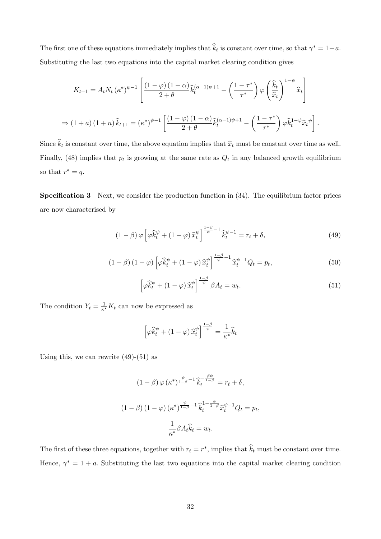The first one of these equations immediately implies that  $\hat{k}_t$  is constant over time, so that  $\gamma^* = 1 + a$ . Substituting the last two equations into the capital market clearing condition gives

$$
K_{t+1} = A_t N_t (\kappa^*)^{\psi-1} \left[ \frac{(1-\varphi)(1-\alpha)}{2+\theta} \widehat{k}_t^{(\alpha-1)\psi+1} - \left(\frac{1-\tau^*}{\tau^*}\right) \varphi \left(\frac{\widehat{k}_t}{\widehat{x}_t}\right)^{1-\psi} \widehat{x}_t \right]
$$
  
\n
$$
\Rightarrow (1+a)(1+n)\widehat{k}_{t+1} = (\kappa^*)^{\psi-1} \left[ \frac{(1-\varphi)(1-\alpha)}{2+\theta} \widehat{k}_t^{(\alpha-1)\psi+1} - \left(\frac{1-\tau^*}{\tau^*}\right) \varphi \widehat{k}_t^{1-\psi} \widehat{x}_t^{\psi} \right].
$$

Since  $k_t$  is constant over time, the above equation implies that  $\hat{x}_t$  must be constant over time as well. Finally, (48) implies that  $p_t$  is growing at the same rate as  $Q_t$  in any balanced growth equilibrium so that  $r^* = q$ .

**Specification 3** Next, we consider the production function in  $(34)$ . The equilibrium factor prices are now characterised by

$$
(1 - \beta) \varphi \left[ \varphi \widehat{k}_t^{\psi} + (1 - \varphi) \widehat{x}_t^{\psi} \right]_{\psi}^{\frac{1 - \beta}{\psi} - 1} \widehat{k}_t^{\psi - 1} = r_t + \delta,
$$
\n(49)

$$
(1 - \beta) (1 - \varphi) \left[ \varphi \widehat{k}_t^{\psi} + (1 - \varphi) \widehat{x}_t^{\psi} \right]_{\psi}^{\frac{1 - \beta}{\psi} - 1} \widehat{x}_t^{\psi - 1} Q_t = p_t,
$$
\n
$$
(50)
$$

$$
\left[\varphi \widehat{k}_t^{\psi} + (1 - \varphi) \widehat{x}_t^{\psi}\right]^{\frac{1 - \beta}{\psi}} \beta A_t = w_t.
$$
\n(51)

The condition  $Y_t = \frac{1}{\kappa^*} K_t$  can now be expressed as

$$
\left[\varphi \widehat{k}_t^{\psi} + (1 - \varphi) \widehat{x}_t^{\psi}\right]^{\frac{1 - \beta}{\psi}} = \frac{1}{\kappa^*} \widehat{k}_t
$$

Using this, we can rewrite  $(49)-(51)$  as

$$
(1 - \beta) \varphi(\kappa^*)^{\frac{\psi}{1 - \beta} - 1} \hat{k}_t^{-\frac{\beta \psi}{1 - \beta}} = r_t + \delta,
$$
  

$$
(1 - \beta) (1 - \varphi) (\kappa^*)^{\frac{\psi}{1 - \beta} - 1} \hat{k}_t^{1 - \frac{\psi}{1 - \beta}} \hat{x}_t^{\psi - 1} Q_t = p_t,
$$
  

$$
\frac{1}{\kappa^*} \beta A_t \hat{k}_t = w_t.
$$

The first of these three equations, together with  $r_t = r^*$ , implies that  $\hat{k}_t$  must be constant over time. Hence,  $\gamma^* = 1 + a$ . Substituting the last two equations into the capital market clearing condition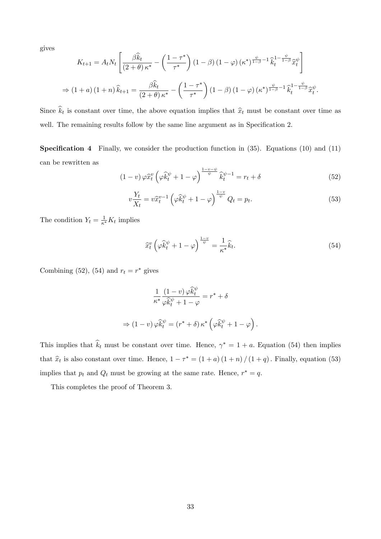gives

$$
K_{t+1} = A_t N_t \left[ \frac{\beta \widehat{k}_t}{(2+\theta)\kappa^*} - \left( \frac{1-\tau^*}{\tau^*} \right) (1-\beta) (1-\varphi) (\kappa^*)^{\frac{\psi}{1-\beta} - 1} \widehat{k}_t^{1-\frac{\psi}{1-\beta}} \widehat{x}_t^{\psi} \right]
$$
  
\n
$$
\Rightarrow (1+a) (1+n) \widehat{k}_{t+1} = \frac{\beta \widehat{k}_t}{(2+\theta)\kappa^*} - \left( \frac{1-\tau^*}{\tau^*} \right) (1-\beta) (1-\varphi) (\kappa^*)^{\frac{\psi}{1-\beta} - 1} \widehat{k}_t^{1-\frac{\psi}{1-\beta}} \widehat{x}_t^{\psi}.
$$

Since  $k_t$  is constant over time, the above equation implies that  $\hat{x}_t$  must be constant over time as well. The remaining results follow by the same line argument as in Specification 2.

**Specification 4** Finally, we consider the production function in  $(35)$ . Equations  $(10)$  and  $(11)$ can be rewritten as

$$
(1 - v)\varphi \hat{x}_t^v \left(\varphi \hat{k}_t^{\psi} + 1 - \varphi\right)^{\frac{1 - v - \psi}{\psi}} \hat{k}_t^{\psi - 1} = r_t + \delta
$$
\n
$$
(52)
$$

$$
v\frac{Y_t}{X_t} = v\hat{x}_t^{v-1} \left(\varphi \hat{k}_t^{\psi} + 1 - \varphi\right)^{\frac{1-v}{\psi}} Q_t = p_t.
$$
\n
$$
(53)
$$

The condition  $Y_t = \frac{1}{\kappa^*} K_t$  implies

$$
\widehat{x}_t^v \left( \varphi \widehat{k}_t^{\psi} + 1 - \varphi \right)^{\frac{1-v}{\psi}} = \frac{1}{\kappa^*} \widehat{k}_t. \tag{54}
$$

Combining (52), (54) and  $r_t = r^*$  gives

$$
\frac{1}{\kappa^*} \frac{(1-v)\,\varphi \hat{k}_t^{\psi}}{\varphi \hat{k}_t^{\psi} + 1 - \varphi} = r^* + \delta
$$
\n
$$
(1-v)\,\varphi \hat{k}_t^{\psi} = (r^* + \delta)\,\kappa^* \left(\varphi \hat{k}_t^{\psi} + 1 - \varphi\right).
$$

This implies that  $\hat{k}_t$  must be constant over time. Hence,  $\gamma^* = 1 + a$ . Equation (54) then implies that  $\hat{x}_t$  is also constant over time. Hence,  $1 - \tau^* = (1 + a)(1 + n)/(1 + q)$ . Finally, equation (53) implies that  $p_t$  and  $Q_t$  must be growing at the same rate. Hence,  $r^* = q$ .

This completes the proof of Theorem 3.

 $\Rightarrow$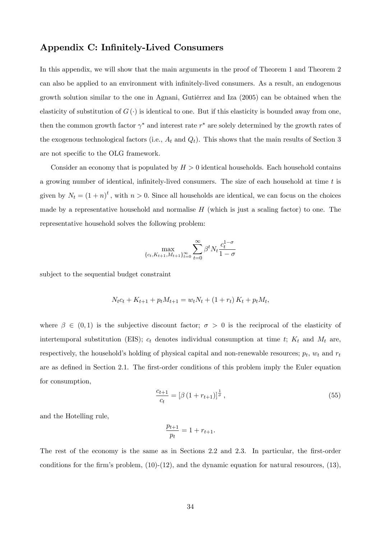# Appendix C: Infinitely-Lived Consumers

In this appendix, we will show that the main arguments in the proof of Theorem 1 and Theorem 2 can also be applied to an environment with infinitely-lived consumers. As a result, an endogenous growth solution similar to the one in Agnani, Gutièrrez and Iza (2005) can be obtained when the elasticity of substitution of  $G(\cdot)$  is identical to one. But if this elasticity is bounded away from one, then the common growth factor  $\gamma^*$  and interest rate  $r^*$  are solely determined by the growth rates of the exogenous technological factors (i.e.,  $A_t$  and  $Q_t$ ). This shows that the main results of Section 3 are not specific to the OLG framework.

Consider an economy that is populated by  $H > 0$  identical households. Each household contains a growing number of identical, infinitely-lived consumers. The size of each household at time  $t$  is given by  $N_t = (1 + n)^t$ , with  $n > 0$ . Since all households are identical, we can focus on the choices made by a representative household and normalise  $H$  (which is just a scaling factor) to one. The representative household solves the following problem:

$$
\max_{\{c_t, K_{t+1}, M_{t+1}\}_{t=0}^{\infty}} \sum_{t=0}^{\infty} \beta^t N_t \frac{c_t^{1-\sigma}}{1-\sigma}
$$

subject to the sequential budget constraint

$$
N_t c_t + K_{t+1} + p_t M_{t+1} = w_t N_t + (1 + r_t) K_t + p_t M_t,
$$

where  $\beta \in (0,1)$  is the subjective discount factor;  $\sigma > 0$  is the reciprocal of the elasticity of intertemporal substitution (EIS);  $c_t$  denotes individual consumption at time t;  $K_t$  and  $M_t$  are, respectively, the household's holding of physical capital and non-renewable resources;  $p_t$ ,  $w_t$  and  $r_t$ are as defined in Section 2.1. The first-order conditions of this problem imply the Euler equation for consumption,

$$
\frac{c_{t+1}}{c_t} = \left[\beta \left(1 + r_{t+1}\right)\right]^{\frac{1}{\sigma}},\tag{55}
$$

and the Hotelling rule,

$$
\frac{p_{t+1}}{p_t} = 1 + r_{t+1}.
$$

The rest of the economy is the same as in Sections 2.2 and 2.3. In particular, the first-order conditions for the firm's problem,  $(10)-(12)$ , and the dynamic equation for natural resources,  $(13)$ ,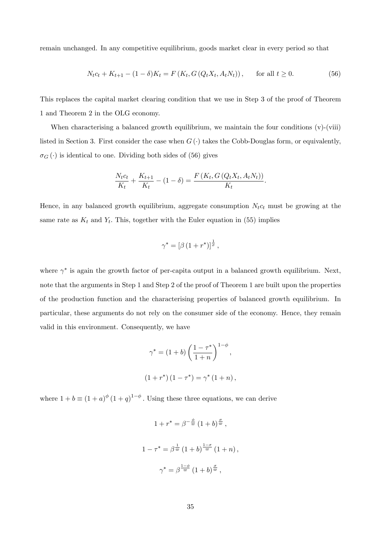remain unchanged. In any competitive equilibrium, goods market clear in every period so that

$$
N_t c_t + K_{t+1} - (1 - \delta) K_t = F(K_t, G(Q_t X_t, A_t N_t)), \quad \text{for all } t \ge 0.
$$
 (56)

This replaces the capital market clearing condition that we use in Step 3 of the proof of Theorem 1 and Theorem 2 in the OLG economy.

When characterising a balanced growth equilibrium, we maintain the four conditions (v)-(viii) listed in Section 3. First consider the case when  $G(\cdot)$  takes the Cobb-Douglas form, or equivalently,  $\sigma_G(\cdot)$  is identical to one. Dividing both sides of (56) gives

$$
\frac{N_t c_t}{K_t} + \frac{K_{t+1}}{K_t} - (1 - \delta) = \frac{F(K_t, G(Q_t X_t, A_t N_t))}{K_t}.
$$

Hence, in any balanced growth equilibrium, aggregate consumption  $N_t c_t$  must be growing at the same rate as  $K_t$  and  $Y_t$ . This, together with the Euler equation in (55) implies

$$
\gamma^* = \left[\beta \left(1 + r^*\right)\right]^{\frac{1}{\sigma}},
$$

where  $\gamma^*$  is again the growth factor of per-capita output in a balanced growth equilibrium. Next, note that the arguments in Step 1 and Step 2 of the proof of Theorem 1 are built upon the properties of the production function and the characterising properties of balanced growth equilibrium. In particular, these arguments do not rely on the consumer side of the economy. Hence, they remain valid in this environment. Consequently, we have

$$
\gamma^* = (1+b) \left( \frac{1-\tau^*}{1+n} \right)^{1-\phi},
$$
  

$$
(1+r^*)(1-\tau^*) = \gamma^* (1+n),
$$

where  $1 + b \equiv (1 + a)^{\phi} (1 + q)^{1 - \phi}$ . Using these three equations, we can derive

$$
1 + r^* = \beta^{-\frac{\phi}{\varpi}} (1 + b)^{\frac{\sigma}{\varpi}},
$$
  

$$
1 - \tau^* = \beta^{\frac{1}{\varpi}} (1 + b)^{\frac{1 - \sigma}{\varpi}} (1 + n),
$$
  

$$
\gamma^* = \beta^{\frac{1 - \phi}{\varpi}} (1 + b)^{\frac{\sigma}{\varpi}},
$$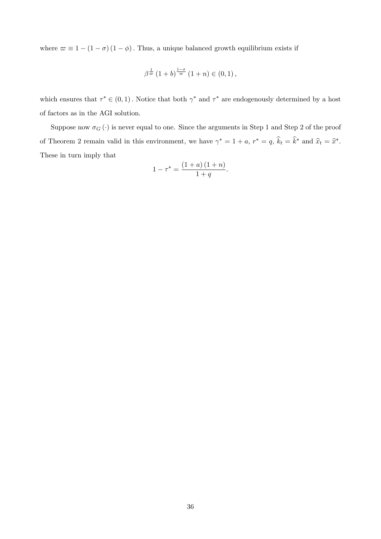where  $\varpi \equiv 1 - (1 - \sigma) (1 - \phi)$ . Thus, a unique balanced growth equilibrium exists if

$$
\beta^{\frac{1}{\varpi}}\left(1+b\right)^{\frac{1-\sigma}{\varpi}}\left(1+n\right)\in\left(0,1\right),\,
$$

which ensures that  $\tau^* \in (0,1)$ . Notice that both  $\gamma^*$  and  $\tau^*$  are endogenously determined by a host of factors as in the AGI solution.

Suppose now  $\sigma_G(\cdot)$  is never equal to one. Since the arguments in Step 1 and Step 2 of the proof of Theorem 2 remain valid in this environment, we have  $\gamma^* = 1 + a$ ,  $r^* = q$ ,  $\hat{k}_t = \hat{k}^*$  and  $\hat{x}_t = \hat{x}^*$ . These in turn imply that

$$
1 - \tau^* = \frac{(1 + a)(1 + n)}{1 + q}.
$$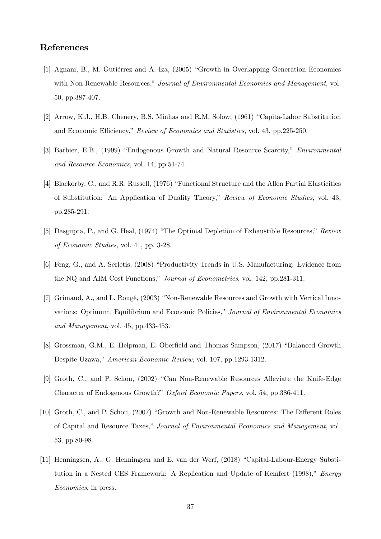# References

- [1] Agnani, B., M. Gutiérrez and A. Iza, (2005) "Growth in Overlapping Generation Economies with Non-Renewable Resources," Journal of Environmental Economics and Management, vol. 50, pp.387-407.
- [2] Arrow, K.J., H.B. Chenery, B.S. Minhas and R.M. Solow, (1961) "Capita-Labor Substitution and Economic Efficiency," Review of Economics and Statistics, vol. 43, pp.225-250.
- [3] Barbier, E.B., (1999) "Endogenous Growth and Natural Resource Scarcity," *Environmental* and Resource Economics, vol. 14, pp.51-74.
- [4] Blackorby, C., and R.R. Russell, (1976) "Functional Structure and the Allen Partial Elasticities of Substitution: An Application of Duality Theory,î Review of Economic Studies, vol. 43, pp.285-291.
- [5] Dasgupta, P., and G. Heal, (1974) "The Optimal Depletion of Exhaustible Resources," Review of Economic Studies, vol. 41, pp. 3-28.
- [6] Feng, G., and A. Serletis, (2008) "Productivity Trends in U.S. Manufacturing: Evidence from the NQ and AIM Cost Functions," Journal of Econometrics, vol. 142, pp.281-311.
- [7] Grimaud, A., and L. Rougé, (2003) "Non-Renewable Resources and Growth with Vertical Innovations: Optimum, Equilibrium and Economic Policies,<sup>n</sup> Journal of Environmental Economics and Management, vol. 45, pp.433-453.
- [8] Grossman, G.M., E. Helpman, E. Oberfield and Thomas Sampson, (2017) "Balanced Growth Despite Uzawa," American Economic Review, vol. 107, pp.1293-1312.
- [9] Groth, C., and P. Schou, (2002) "Can Non-Renewable Resources Alleviate the Knife-Edge Character of Endogenous Growth?" Oxford Economic Papers, vol. 54, pp.386-411.
- [10] Groth, C., and P. Schou, (2007) "Growth and Non-Renewable Resources: The Different Roles of Capital and Resource Taxes,î Journal of Environmental Economics and Management, vol. 53, pp.80-98.
- [11] Henningsen, A., G. Henningsen and E. van der Werf, (2018) "Capital-Labour-Energy Substitution in a Nested CES Framework: A Replication and Update of Kemfert  $(1998)$ ," *Energy* Economics, in press.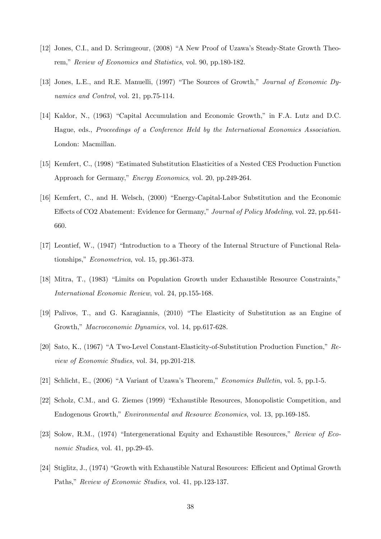- [12] Jones, C.I., and D. Scrimgeour, (2008) "A New Proof of Uzawa's Steady-State Growth Theorem," Review of Economics and Statistics, vol. 90, pp. 180-182.
- [13] Jones, L.E., and R.E. Manuelli, (1997) "The Sources of Growth," Journal of Economic Dynamics and Control, vol. 21, pp.75-114.
- [14] Kaldor, N., (1963) "Capital Accumulation and Economic Growth." in F.A. Lutz and D.C. Hague, eds., Proceedings of a Conference Held by the International Economics Association. London: Macmillan.
- [15] Kemfert, C., (1998) "Estimated Substitution Elasticities of a Nested CES Production Function Approach for Germany," *Energy Economics*, vol. 20, pp.249-264.
- [16] Kemfert, C., and H. Welsch, (2000) "Energy-Capital-Labor Substitution and the Economic Effects of CO2 Abatement: Evidence for Germany," Journal of Policy Modeling, vol. 22, pp.641-660.
- [17] Leontief, W., (1947) "Introduction to a Theory of the Internal Structure of Functional Relationships," *Econometrica*, vol. 15, pp.361-373.
- [18] Mitra, T., (1983) "Limits on Population Growth under Exhaustible Resource Constraints," International Economic Review, vol. 24, pp.155-168.
- [19] Palivos, T., and G. Karagiannis, (2010) "The Elasticity of Substitution as an Engine of Growth," Macroeconomic Dynamics, vol. 14, pp.617-628.
- [20] Sato, K., (1967) "A Two-Level Constant-Elasticity-of-Substitution Production Function," Review of Economic Studies, vol. 34, pp.201-218.
- [21] Schlicht, E., (2006) "A Variant of Uzawa's Theorem," Economics Bulletin, vol. 5, pp.1-5.
- [22] Scholz, C.M., and G. Ziemes (1999) "Exhaustible Resources, Monopolistic Competition, and Endogenous Growth," *Environmental and Resource Economics*, vol. 13, pp.169-185.
- [23] Solow, R.M., (1974) "Intergenerational Equity and Exhaustible Resources," Review of Economic Studies, vol. 41, pp.29-45.
- [24] Stiglitz, J., (1974) "Growth with Exhaustible Natural Resources: Efficient and Optimal Growth Paths," Review of Economic Studies, vol. 41, pp.123-137.